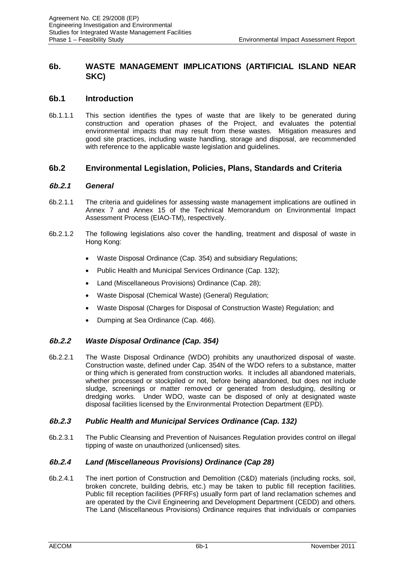# **6b. WASTE MANAGEMENT IMPLICATIONS (ARTIFICIAL ISLAND NEAR SKC)**

# **6b.1 Introduction**

6b.1.1.1 This section identifies the types of waste that are likely to be generated during construction and operation phases of the Project, and evaluates the potential environmental impacts that may result from these wastes. Mitigation measures and good site practices, including waste handling, storage and disposal, are recommended with reference to the applicable waste legislation and guidelines.

# **6b.2 Environmental Legislation, Policies, Plans, Standards and Criteria**

# **6b.2.1** *General*

- 6b.2.1.1 The criteria and guidelines for assessing waste management implications are outlined in Annex 7 and Annex 15 of the Technical Memorandum on Environmental Impact Assessment Process (EIAO-TM), respectively.
- 6b.2.1.2 The following legislations also cover the handling, treatment and disposal of waste in Hong Kong:
	- x Waste Disposal Ordinance (Cap. 354) and subsidiary Regulations;
	- Public Health and Municipal Services Ordinance (Cap. 132);
	- Land (Miscellaneous Provisions) Ordinance (Cap. 28);
	- Waste Disposal (Chemical Waste) (General) Regulation;
	- Waste Disposal (Charges for Disposal of Construction Waste) Regulation; and
	- Dumping at Sea Ordinance (Cap. 466).

# **6b.2.2** *Waste Disposal Ordinance (Cap. 354)*

6b.2.2.1 The Waste Disposal Ordinance (WDO) prohibits any unauthorized disposal of waste. Construction waste, defined under Cap. 354N of the WDO refers to a substance, matter or thing which is generated from construction works. It includes all abandoned materials, whether processed or stockpiled or not, before being abandoned, but does not include sludge, screenings or matter removed or generated from desludging, desilting or dredging works. Under WDO, waste can be disposed of only at designated waste disposal facilities licensed by the Environmental Protection Department (EPD).

# **6b.2.3** *Public Health and Municipal Services Ordinance (Cap. 132)*

6b.2.3.1 The Public Cleansing and Prevention of Nuisances Regulation provides control on illegal tipping of waste on unauthorized (unlicensed) sites.

# **6b.2.4** *Land (Miscellaneous Provisions) Ordinance (Cap 28)*

6b.2.4.1 The inert portion of Construction and Demolition (C&D) materials (including rocks, soil, broken concrete, building debris, etc.) may be taken to public fill reception facilities. Public fill reception facilities (PFRFs) usually form part of land reclamation schemes and are operated by the Civil Engineering and Development Department (CEDD) and others. The Land (Miscellaneous Provisions) Ordinance requires that individuals or companies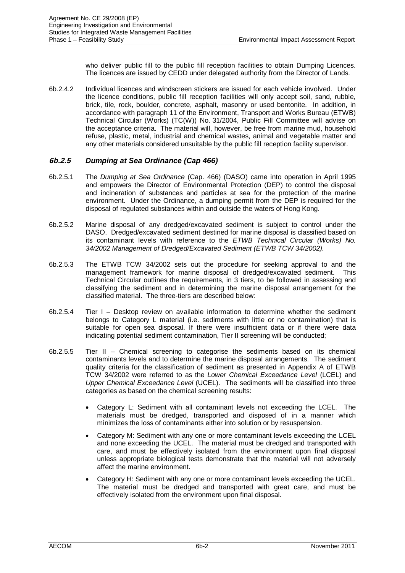who deliver public fill to the public fill reception facilities to obtain Dumping Licences. The licences are issued by CEDD under delegated authority from the Director of Lands.

6b.2.4.2 Individual licences and windscreen stickers are issued for each vehicle involved. Under the licence conditions, public fill reception facilities will only accept soil, sand, rubble, brick, tile, rock, boulder, concrete, asphalt, masonry or used bentonite. In addition, in accordance with paragraph 11 of the Environment, Transport and Works Bureau (ETWB) Technical Circular (Works) (TC(W)) No. 31/2004, Public Fill Committee will advise on the acceptance criteria. The material will, however, be free from marine mud, household refuse, plastic, metal, industrial and chemical wastes, animal and vegetable matter and any other materials considered unsuitable by the public fill reception facility supervisor.

# **6b.2.5** *Dumping at Sea Ordinance (Cap 466)*

- 6b.2.5.1 The *Dumping at Sea Ordinance* (Cap. 466) (DASO) came into operation in April 1995 and empowers the Director of Environmental Protection (DEP) to control the disposal and incineration of substances and particles at sea for the protection of the marine environment. Under the Ordinance, a dumping permit from the DEP is required for the disposal of regulated substances within and outside the waters of Hong Kong.
- 6b.2.5.2 Marine disposal of any dredged/excavated sediment is subject to control under the DASO. Dredged/excavated sediment destined for marine disposal is classified based on its contaminant levels with reference to the *ETWB Technical Circular (Works) No. 34/2002 Management of Dredged/Excavated Sediment (ETWB TCW 34/2002).*
- 6b.2.5.3 The ETWB TCW 34/2002 sets out the procedure for seeking approval to and the management framework for marine disposal of dredged/excavated sediment. This Technical Circular outlines the requirements, in 3 tiers, to be followed in assessing and classifying the sediment and in determining the marine disposal arrangement for the classified material. The three-tiers are described below:
- 6b.2.5.4 Tier I Desktop review on available information to determine whether the sediment belongs to Category L material (i.e. sediments with little or no contamination) that is suitable for open sea disposal. If there were insufficient data or if there were data indicating potential sediment contamination, Tier II screening will be conducted;
- 6b.2.5.5 Tier II Chemical screening to categorise the sediments based on its chemical contaminants levels and to determine the marine disposal arrangements. The sediment quality criteria for the classification of sediment as presented in Appendix A of ETWB TCW 34/2002 were referred to as the *Lower Chemical Exceedance Level* (LCEL) and *Upper Chemical Exceedance Level* (UCEL). The sediments will be classified into three categories as based on the chemical screening results:
	- Category L: Sediment with all contaminant levels not exceeding the LCEL. The materials must be dredged, transported and disposed of in a manner which minimizes the loss of contaminants either into solution or by resuspension.
	- Category M: Sediment with any one or more contaminant levels exceeding the LCEL and none exceeding the UCEL. The material must be dredged and transported with care, and must be effectively isolated from the environment upon final disposal unless appropriate biological tests demonstrate that the material will not adversely affect the marine environment.
	- Category H: Sediment with any one or more contaminant levels exceeding the UCEL. The material must be dredged and transported with great care, and must be effectively isolated from the environment upon final disposal.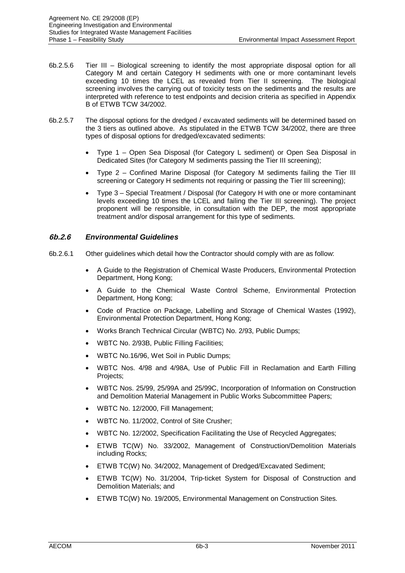- 6b.2.5.6 Tier III Biological screening to identify the most appropriate disposal option for all Category M and certain Category H sediments with one or more contaminant levels exceeding 10 times the LCEL as revealed from Tier II screening. The biological screening involves the carrying out of toxicity tests on the sediments and the results are interpreted with reference to test endpoints and decision criteria as specified in Appendix B of ETWB TCW 34/2002.
- 6b.2.5.7 The disposal options for the dredged / excavated sediments will be determined based on the 3 tiers as outlined above. As stipulated in the ETWB TCW 34/2002, there are three types of disposal options for dredged/excavated sediments:
	- x Type 1 Open Sea Disposal (for Category L sediment) or Open Sea Disposal in Dedicated Sites (for Category M sediments passing the Tier III screening);
	- Type 2 Confined Marine Disposal (for Category M sediments failing the Tier III screening or Category H sediments not requiring or passing the Tier III screening);
	- x Type 3 Special Treatment / Disposal (for Category H with one or more contaminant levels exceeding 10 times the LCEL and failing the Tier III screening). The project proponent will be responsible, in consultation with the DEP, the most appropriate treatment and/or disposal arrangement for this type of sediments.

# **6b.2.6** *Environmental Guidelines*

- 6b.2.6.1 Other guidelines which detail how the Contractor should comply with are as follow:
	- x A Guide to the Registration of Chemical Waste Producers, Environmental Protection Department, Hong Kong;
	- A Guide to the Chemical Waste Control Scheme, Environmental Protection Department, Hong Kong;
	- Code of Practice on Package, Labelling and Storage of Chemical Wastes (1992), Environmental Protection Department, Hong Kong;
	- x Works Branch Technical Circular (WBTC) No. 2/93, Public Dumps;
	- x WBTC No. 2/93B, Public Filling Facilities;
	- x WBTC No.16/96, Wet Soil in Public Dumps;
	- x WBTC Nos. 4/98 and 4/98A, Use of Public Fill in Reclamation and Earth Filling Projects;
	- x WBTC Nos. 25/99, 25/99A and 25/99C, Incorporation of Information on Construction and Demolition Material Management in Public Works Subcommittee Papers;
	- WBTC No. 12/2000. Fill Management:
	- x WBTC No. 11/2002, Control of Site Crusher;
	- x WBTC No. 12/2002, Specification Facilitating the Use of Recycled Aggregates;
	- x ETWB TC(W) No. 33/2002, Management of Construction/Demolition Materials including Rocks;
	- ETWB TC(W) No. 34/2002, Management of Dredged/Excavated Sediment;
	- ETWB TC(W) No. 31/2004, Trip-ticket System for Disposal of Construction and Demolition Materials; and
	- ETWB TC(W) No. 19/2005, Environmental Management on Construction Sites.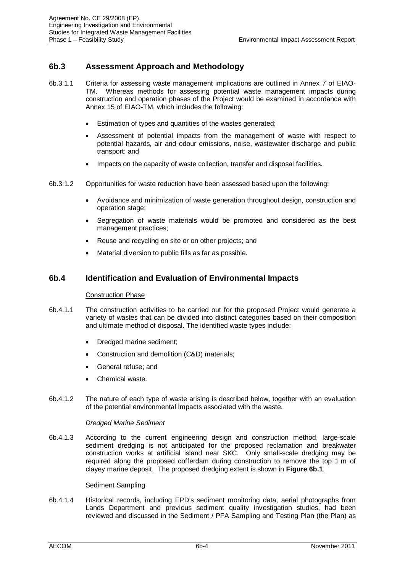# **6b.3 Assessment Approach and Methodology**

- 6b.3.1.1 Criteria for assessing waste management implications are outlined in Annex 7 of EIAO-TM. Whereas methods for assessing potential waste management impacts during construction and operation phases of the Project would be examined in accordance with Annex 15 of EIAO-TM, which includes the following:
	- Estimation of types and quantities of the wastes generated:
	- Assessment of potential impacts from the management of waste with respect to potential hazards, air and odour emissions, noise, wastewater discharge and public transport; and
	- Impacts on the capacity of waste collection, transfer and disposal facilities.
- 6b.3.1.2 Opportunities for waste reduction have been assessed based upon the following:
	- x Avoidance and minimization of waste generation throughout design, construction and operation stage;
	- Segregation of waste materials would be promoted and considered as the best management practices;
	- Reuse and recycling on site or on other projects; and
	- Material diversion to public fills as far as possible.

# **6b.4 Identification and Evaluation of Environmental Impacts**

## Construction Phase

- 6b.4.1.1 The construction activities to be carried out for the proposed Project would generate a variety of wastes that can be divided into distinct categories based on their composition and ultimate method of disposal. The identified waste types include:
	- Dredged marine sediment;
	- Construction and demolition (C&D) materials;
	- General refuse; and
	- Chemical waste.
- 6b.4.1.2 The nature of each type of waste arising is described below, together with an evaluation of the potential environmental impacts associated with the waste.

## *Dredged Marine Sediment*

6b.4.1.3 According to the current engineering design and construction method, large-scale sediment dredging is not anticipated for the proposed reclamation and breakwater construction works at artificial island near SKC. Only small-scale dredging may be required along the proposed cofferdam during construction to remove the top 1 m of clayey marine deposit. The proposed dredging extent is shown in **Figure 6b.1**.

## Sediment Sampling

6b.4.1.4 Historical records, including EPD's sediment monitoring data, aerial photographs from Lands Department and previous sediment quality investigation studies, had been reviewed and discussed in the Sediment / PFA Sampling and Testing Plan (the Plan) as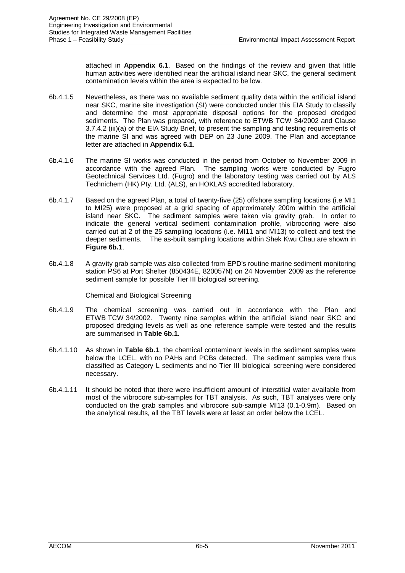attached in **Appendix 6.1**. Based on the findings of the review and given that little human activities were identified near the artificial island near SKC, the general sediment contamination levels within the area is expected to be low.

- 6b.4.1.5 Nevertheless, as there was no available sediment quality data within the artificial island near SKC, marine site investigation (SI) were conducted under this EIA Study to classify and determine the most appropriate disposal options for the proposed dredged sediments. The Plan was prepared, with reference to ETWB TCW 34/2002 and Clause 3.7.4.2 (iii)(a) of the EIA Study Brief, to present the sampling and testing requirements of the marine SI and was agreed with DEP on 23 June 2009. The Plan and acceptance letter are attached in **Appendix 6.1**.
- 6b.4.1.6 The marine SI works was conducted in the period from October to November 2009 in accordance with the agreed Plan. The sampling works were conducted by Fugro Geotechnical Services Ltd. (Fugro) and the laboratory testing was carried out by ALS Technichem (HK) Pty. Ltd. (ALS), an HOKLAS accredited laboratory.
- 6b.4.1.7 Based on the agreed Plan, a total of twenty-five (25) offshore sampling locations (i.e MI1 to MI25) were proposed at a grid spacing of approximately 200m within the artificial island near SKC. The sediment samples were taken via gravity grab. In order to indicate the general vertical sediment contamination profile, vibrocoring were also carried out at 2 of the 25 sampling locations (i.e. MI11 and MI13) to collect and test the deeper sediments. The as-built sampling locations within Shek Kwu Chau are shown in **Figure 6b.1**.
- 6b.4.1.8 A gravity grab sample was also collected from EPD's routine marine sediment monitoring station PS6 at Port Shelter (850434E, 820057N) on 24 November 2009 as the reference sediment sample for possible Tier III biological screening.

Chemical and Biological Screening

- 6b.4.1.9 The chemical screening was carried out in accordance with the Plan and ETWB TCW 34/2002. Twenty nine samples within the artificial island near SKC and proposed dredging levels as well as one reference sample were tested and the results are summarised in **Table 6b.1**.
- 6b.4.1.10 As shown in **Table 6b.1**, the chemical contaminant levels in the sediment samples were below the LCEL, with no PAHs and PCBs detected. The sediment samples were thus classified as Category L sediments and no Tier III biological screening were considered necessary.
- 6b.4.1.11 It should be noted that there were insufficient amount of interstitial water available from most of the vibrocore sub-samples for TBT analysis. As such, TBT analyses were only conducted on the grab samples and vibrocore sub-sample MI13 (0.1-0.9m). Based on the analytical results, all the TBT levels were at least an order below the LCEL.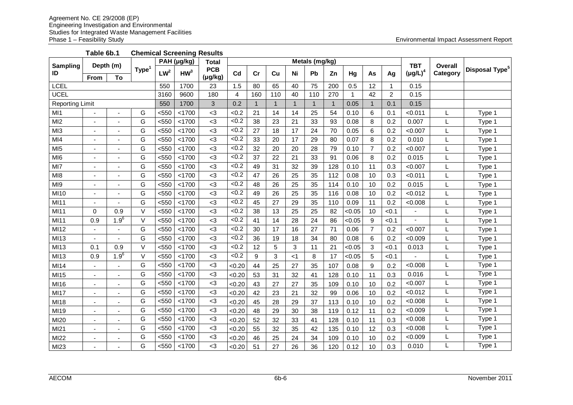**Table 6b.1 Chemical Screening Results**

| Sampling               | Depth (m)      |                          | $\overline{PAH}$ (µg/kg) |                 |                 | <b>Total</b> |                |     |     |    | Metals (mg/kg) |              |        |                |                | <b>TBT</b>    | Overall  |                            |
|------------------------|----------------|--------------------------|--------------------------|-----------------|-----------------|--------------|----------------|-----|-----|----|----------------|--------------|--------|----------------|----------------|---------------|----------|----------------------------|
| ID                     |                |                          | <b>Type</b>              | LW <sup>2</sup> | HW <sup>3</sup> | <b>PCB</b>   | Cd             | cr  | Cu  | Ni | Pb             | Zn           | Hg     | As             | Ag             | $(\mu g/L)^4$ | Category | Disposal Type <sup>5</sup> |
|                        | <b>From</b>    | To                       |                          |                 |                 | (µg/kg)      |                |     |     |    |                |              |        |                |                |               |          |                            |
| LCEL                   |                |                          |                          | 550             | 1700            | 23           | 1.5            | 80  | 65  | 40 | 75             | 200          | 0.5    | 12             | 1              | 0.15          |          |                            |
| <b>UCEL</b>            |                |                          |                          | 3160            | 9600            | 180          | $\overline{4}$ | 160 | 110 | 40 | 110            | 270          | 1      | 42             | $\overline{2}$ | 0.15          |          |                            |
| <b>Reporting Limit</b> |                |                          |                          | 550             | 1700            | 3            | 0.2            | -1  | -1  | 1  | 1              | $\mathbf{1}$ | 0.05   | $\mathbf{1}$   | 0.1            | 0.15          |          |                            |
| M <sub>1</sub>         |                | $\blacksquare$           | G                        | < 550           | < 1700          | $<$ 3        | <0.2           | 21  | 14  | 14 | 25             | 54           | 0.10   | 6              | 0.1            | < 0.011       | L        | Type 1                     |
| M12                    |                | $\overline{\phantom{a}}$ | G                        | $550$           | < 1700          | $3$          | $\sqrt{6.2}$   | 38  | 23  | 21 | 33             | 93           | 0.08   | 8              | 0.2            | 0.007         | L        | Type 1                     |
| Ml3                    |                |                          | G                        | $<$ 550         | < 1700          | $3$          | <0.2           | 27  | 18  | 17 | 24             | 70           | 0.05   | 6              | 0.2            | < 0.007       | L        | Type 1                     |
| MI4                    |                |                          | G                        | $<$ 550         | < 1700          | $<$ 3        | <0.2           | 33  | 20  | 17 | 29             | 80           | 0.07   | 8              | 0.2            | 0.010         |          | Type 1                     |
| MI <sub>5</sub>        |                |                          | G                        | $550$           | < 1700          | $3$          | < 0.2          | 32  | 20  | 20 | 28             | 79           | 0.10   | $\overline{7}$ | 0.2            | < 0.007       |          | Type 1                     |
| MI <sub>6</sub>        |                | $\overline{\phantom{a}}$ | G                        | $550$           | < 1700          | $3$          | < 0.2          | 37  | 22  | 21 | 33             | 91           | 0.06   | 8              | 0.2            | 0.015         | L        | Type 1                     |
| MI7                    |                |                          | G                        | $<$ 550         | < 1700          | $3$          | <0.2           | 49  | 31  | 32 | 39             | 128          | 0.10   | 11             | 0.3            | < 0.007       | L        | Type 1                     |
| MI <sub>8</sub>        |                | $\blacksquare$           | G                        | $550$           | < 1700          | <3           | <0.2           | 47  | 26  | 25 | 35             | 112          | 0.08   | 10             | 0.3            | < 0.011       | L        | Type 1                     |
| M <sub>19</sub>        |                | ÷                        | G                        | $550$           | < 1700          | $3$          | <0.2           | 48  | 26  | 25 | 35             | 114          | 0.10   | 10             | 0.2            | 0.015         |          | Type 1                     |
| MI10                   |                |                          | G                        | $550$           | < 1700          | $3$          | <0.2           | 49  | 26  | 25 | 35             | 116          | 0.08   | 10             | 0.2            | < 0.012       | L        | Type 1                     |
| MI11                   |                |                          | G                        | $550$           | < 1700          | $3$          | <0.2           | 45  | 27  | 29 | 35             | 110          | 0.09   | 11             | 0.2            | <0.008        | L        | Type 1                     |
| MI11                   | $\Omega$       | 0.9                      | $\vee$                   | < 550           | < 1700          | <3           | <0.2           | 38  | 13  | 25 | 25             | 82           | < 0.05 | 10             | < 0.1          |               | L        | Type 1                     |
| MI11                   | 0.9            | $1.9^{6}$                | $\vee$                   | $550$           | < 1700          | $3$          | < 0.2          | 41  | 14  | 28 | 24             | 86           | < 0.05 | 9              | < 0.1          |               | L        | Type 1                     |
| MI12                   |                |                          | G                        | $<$ 550         | < 1700          | $3$          | < 0.2          | 30  | 17  | 16 | 27             | 71           | 0.06   | $\overline{7}$ | 0.2            | < 0.007       |          | Type 1                     |
| MI13                   | $\blacksquare$ | $\blacksquare$           | G                        | < 550           | < 1700          | $3$          | < 0.2          | 36  | 19  | 18 | 34             | 80           | 0.08   | 6              | 0.2            | < 0.009       |          | Type 1                     |
| MI13                   | 0.1            | 0.9                      | $\vee$                   | $550$           | < 1700          | $3$          | < 0.2          | 12  | 5   | 3  | 11             | 21           | <0.05  | 3              | < 0.1          | 0.013         |          | Type 1                     |
| MI13                   | 0.9            | $1.9^{6}$                | V                        | $550$           | < 1700          | $3$          | < 0.2          | 9   | 3   | ا> | 8              | 17           | <0.05  | 5              | < 0.1          |               | L        | Type 1                     |
| MI14                   |                | ÷,                       | G                        | $550$           | < 1700          | $3$          | <0.20          | 44  | 25  | 27 | 35             | 107          | 0.08   | 9              | 0.2            | <0.008        | L        | Type 1                     |
| MI15                   |                |                          | G                        | $550$           | < 1700          | $<$ 3        | <0.20          | 53  | 31  | 32 | 41             | 128          | 0.10   | 11             | 0.3            | 0.016         | L        | Type 1                     |
| MI16                   |                | $\blacksquare$           | G                        | $<$ 550         | < 1700          | $<$ 3        | <0.20          | 43  | 27  | 27 | 35             | 109          | 0.10   | 10             | 0.2            | < 0.007       | L        | Type 1                     |
| MI17                   |                |                          | G                        | $550$           | < 1700          | $3$          | <0.20          | 42  | 23  | 21 | 32             | 99           | 0.06   | 10             | 0.2            | < 0.012       | L        | Type 1                     |
| MI18                   |                |                          | G                        | $550$           | < 1700          | $3$          | <0.20          | 45  | 28  | 29 | 37             | 113          | 0.10   | 10             | 0.2            | < 0.008       | L        | Type 1                     |
| MI19                   |                | $\overline{\phantom{a}}$ | G                        | $<$ 550         | < 1700          | $3$          | <0.20          | 48  | 29  | 30 | 38             | 119          | 0.12   | 11             | 0.2            | < 0.009       | L        | Type 1                     |
| MI20                   |                |                          | G                        | $550$           | < 1700          | $3$          | <0.20          | 52  | 32  | 33 | 41             | 128          | 0.10   | 11             | 0.3            | <0.008        | L        | Type 1                     |
| MI21                   |                | $\blacksquare$           | G                        | $<$ 550         | < 1700          | $3$          | <0.20          | 55  | 32  | 35 | 42             | 135          | 0.10   | 12             | 0.3            | < 0.008       | L        | Type 1                     |
| MI22                   |                |                          | G                        | $<$ 550         | < 1700          | $<$ 3        | <0.20          | 46  | 25  | 24 | 34             | 109          | 0.10   | 10             | 0.2            | < 0.009       | L        | Type 1                     |
| MI23                   |                |                          | G                        | $550$           | < 1700          | $3$          | <0.20          | 51  | 27  | 26 | 36             | 120          | 0.12   | 10             | 0.3            | 0.010         |          | Type 1                     |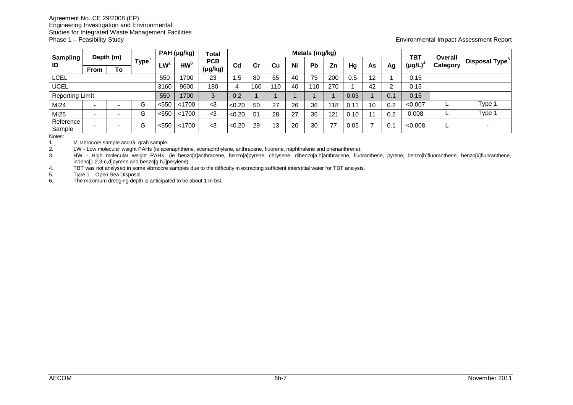|                        |             |           |                   |        | PAH (µg/kg)     | Total   |                |     |           |    | Metals (mg/kg) |     |      |    |     |                             |                     |                            |
|------------------------|-------------|-----------|-------------------|--------|-----------------|---------|----------------|-----|-----------|----|----------------|-----|------|----|-----|-----------------------------|---------------------|----------------------------|
| <b>Sampling</b><br>ID  |             | Depth (m) | Type <sup>1</sup> | $LW^2$ | HW <sup>3</sup> | PCB     | C <sub>d</sub> | Cr  | <b>Cu</b> | Ni | Pb             | Zn  |      |    |     | <b>TBT</b><br>$(\mu g/L)^4$ | Overall<br>Category | Disposal Type <sup>5</sup> |
|                        | <b>From</b> | To        |                   |        |                 | (µg/kg) |                |     |           |    |                |     | Hg   | As | Ag  |                             |                     |                            |
| LCEL                   |             |           |                   | 550    | 1700            | 23      | .5             | 80  | 65        | 40 | 75             | 200 | 0.5  | 12 |     | 0.15                        |                     |                            |
| <b>UCEL</b>            |             |           |                   | 3160   | 9600            | 180     | 4              | 160 | 110       | 40 | 10             | 270 |      | 42 |     | 0.15                        |                     |                            |
| <b>Reporting Limit</b> |             |           |                   | 550    | 1700            | 3       | 0.2            |     |           |    |                |     | 0.05 |    | 0.1 | 0.15                        |                     |                            |
| MI24                   | . .         | -         | G                 | < 550  | < 1700          | $<$ 3   | < 0.20         | 50  | 27        | 26 | 36             | 18  | 0.1  | 10 | 0.2 | < 0.007                     |                     | Type 1                     |
| MI25                   | . .         |           | G                 | < 550  | < 1700          | $3$     | < 0.20         | 51  | 28        | 27 | 36             | 121 | 0.10 | 11 | 0.2 | 0.008                       |                     | Type 1                     |
| Reference<br>Sample    |             | -         | G                 | < 550  | < 1700          | <3      | < 0.20         | 29  | 13        | 20 | 30             | 77  | 0.05 |    |     | < 0.008                     |                     |                            |

Notes:

1. V: vibrocore sample and G: grab sample.<br>2. LW - Low molecular weight PAHs (ie ace

2. LW - Low molecular weight PAHs (ie acenaphthene, acenaphthylene, anthracene, fluorene, naphthalene and phenanthrene).

3. HW - High molecular weight PAHs, (ie benzo[a]anthracene, benzo[a]pyrene, chrysene, dibenzo[a,h]anthracene, fluoranthene, pyrene, benzo[b]fluoranthene, benzo[k]fluoranthene, indeno[1,2,3-c,d]pyrene and benzo[g,h,i]perylene).

4. TBT was not analysed in some vibrocore samples due to the difficulty in extracting sufficient interstitial water for TBT analysis.

Type 1 – Open Sea Disposal

6. The maximum dredging depth is anticipated to be about 1 m bsl.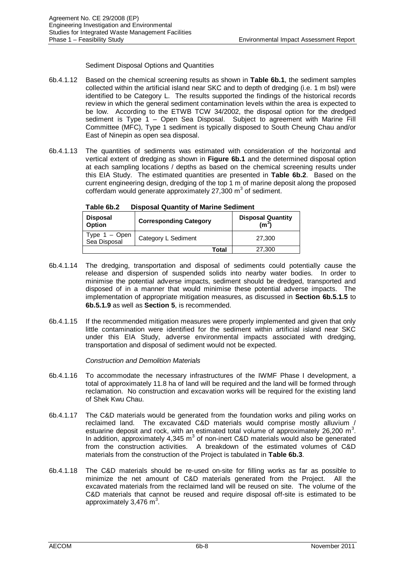## Sediment Disposal Options and Quantities

- 6b.4.1.12 Based on the chemical screening results as shown in **Table 6b.1**, the sediment samples collected within the artificial island near SKC and to depth of dredging (i.e. 1 m bsl) were identified to be Category L. The results supported the findings of the historical records review in which the general sediment contamination levels within the area is expected to be low. According to the ETWB TCW 34/2002, the disposal option for the dredged sediment is Type 1 - Open Sea Disposal. Subject to agreement with Marine Fill Committee (MFC), Type 1 sediment is typically disposed to South Cheung Chau and/or East of Ninepin as open sea disposal.
- 6b.4.1.13 The quantities of sediments was estimated with consideration of the horizontal and vertical extent of dredging as shown in **Figure 6b.1** and the determined disposal option at each sampling locations / depths as based on the chemical screening results under this EIA Study. The estimated quantities are presented in **Table 6b.2**. Based on the current engineering design, dredging of the top 1 m of marine deposit along the proposed  $\cot$  ferdam would generate approximately 27,300 m<sup>3</sup> of sediment.

| <b>Disposal</b><br>Option       | <b>Corresponding Category</b> | <b>Disposal Quantity</b><br>(m $^3$ ) |
|---------------------------------|-------------------------------|---------------------------------------|
| Type $1 -$ Open<br>Sea Disposal | Category L Sediment           | 27,300                                |
|                                 | Total                         | 27,300                                |

**Table 6b.2 Disposal Quantity of Marine Sediment**

- 6b.4.1.14 The dredging, transportation and disposal of sediments could potentially cause the release and dispersion of suspended solids into nearby water bodies. In order to minimise the potential adverse impacts, sediment should be dredged, transported and disposed of in a manner that would minimise these potential adverse impacts. The implementation of appropriate mitigation measures, as discussed in **Section 6b.5.1.5** to **6b.5.1.9** as well as **Section 5**, is recommended.
- 6b.4.1.15 If the recommended mitigation measures were properly implemented and given that only little contamination were identified for the sediment within artificial island near SKC under this EIA Study, adverse environmental impacts associated with dredging, transportation and disposal of sediment would not be expected.

## *Construction and Demolition Materials*

- 6b.4.1.16 To accommodate the necessary infrastructures of the IWMF Phase I development, a total of approximately 11.8 ha of land will be required and the land will be formed through reclamation. No construction and excavation works will be required for the existing land of Shek Kwu Chau.
- 6b.4.1.17 The C&D materials would be generated from the foundation works and piling works on reclaimed land. The excavated C&D materials would comprise mostly alluvium / estuarine deposit and rock, with an estimated total volume of approximately 26,200  $m^3$ . In addition, approximately  $4,345 \text{ m}^3$  of non-inert C&D materials would also be generated from the construction activities. A breakdown of the estimated volumes of C&D materials from the construction of the Project is tabulated in **Table 6b.3**.
- 6b.4.1.18 The C&D materials should be re-used on-site for filling works as far as possible to minimize the net amount of C&D materials generated from the Project. All the excavated materials from the reclaimed land will be reused on site. The volume of the C&D materials that cannot be reused and require disposal off-site is estimated to be approximately 3,476  $m^3$ .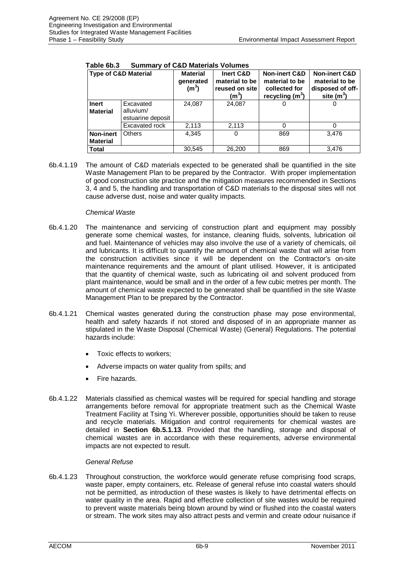| <b>Type of C&amp;D Material</b>     |                                             | <b>Material</b><br>generated<br>(m <sup>3</sup> ) | Inert C&D<br>material to be<br>reused on site<br>(m°) | <b>Non-inert C&amp;D</b><br>material to be<br>collected for<br>recycling $(m^3)$ | <b>Non-inert C&amp;D</b><br>material to be<br>disposed of off-<br>site $(m^3)$ |
|-------------------------------------|---------------------------------------------|---------------------------------------------------|-------------------------------------------------------|----------------------------------------------------------------------------------|--------------------------------------------------------------------------------|
| <b>Inert</b><br><b>Material</b>     | Excavated<br>alluvium/<br>estuarine deposit | 24,087                                            | 24,087                                                |                                                                                  |                                                                                |
|                                     | Excavated rock                              | 2,113                                             | 2,113                                                 |                                                                                  |                                                                                |
| <b>Non-inert</b><br><b>Material</b> | <b>Others</b>                               | 4.345                                             | 0                                                     | 869                                                                              | 3.476                                                                          |
| <b>Total</b>                        |                                             | 30,545                                            | 26,200                                                | 869                                                                              | 3.476                                                                          |

## **Table 6b.3 Summary of C&D Materials Volumes**

6b.4.1.19 The amount of C&D materials expected to be generated shall be quantified in the site Waste Management Plan to be prepared by the Contractor. With proper implementation of good construction site practice and the mitigation measures recommended in Sections 3, 4 and 5, the handling and transportation of C&D materials to the disposal sites will not cause adverse dust, noise and water quality impacts.

## *Chemical Waste*

- 6b.4.1.20 The maintenance and servicing of construction plant and equipment may possibly generate some chemical wastes, for instance, cleaning fluids, solvents, lubrication oil and fuel. Maintenance of vehicles may also involve the use of a variety of chemicals, oil and lubricants. It is difficult to quantify the amount of chemical waste that will arise from the construction activities since it will be dependent on the Contractor's on-site maintenance requirements and the amount of plant utilised. However, it is anticipated that the quantity of chemical waste, such as lubricating oil and solvent produced from plant maintenance, would be small and in the order of a few cubic metres per month. The amount of chemical waste expected to be generated shall be quantified in the site Waste Management Plan to be prepared by the Contractor.
- 6b.4.1.21 Chemical wastes generated during the construction phase may pose environmental, health and safety hazards if not stored and disposed of in an appropriate manner as stipulated in the Waste Disposal (Chemical Waste) (General) Regulations. The potential hazards include:
	- Toxic effects to workers;
	- Adverse impacts on water quality from spills; and
	- Fire hazards.
- 6b.4.1.22 Materials classified as chemical wastes will be required for special handling and storage arrangements before removal for appropriate treatment such as the Chemical Waste Treatment Facility at Tsing Yi. Wherever possible, opportunities should be taken to reuse and recycle materials. Mitigation and control requirements for chemical wastes are detailed in **Section 6b.5.1.13**. Provided that the handling, storage and disposal of chemical wastes are in accordance with these requirements, adverse environmental impacts are not expected to result.

# *General Refuse*

6b.4.1.23 Throughout construction, the workforce would generate refuse comprising food scraps, waste paper, empty containers, etc. Release of general refuse into coastal waters should not be permitted, as introduction of these wastes is likely to have detrimental effects on water quality in the area. Rapid and effective collection of site wastes would be required to prevent waste materials being blown around by wind or flushed into the coastal waters or stream. The work sites may also attract pests and vermin and create odour nuisance if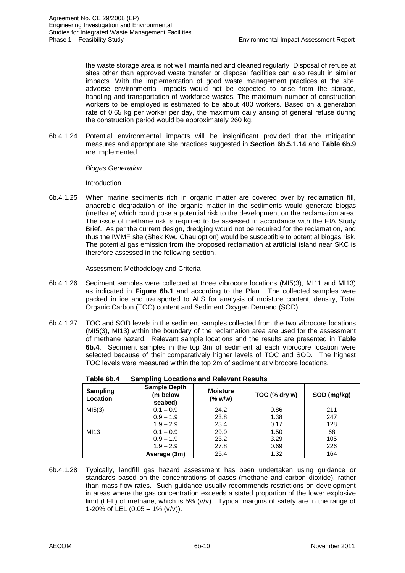the waste storage area is not well maintained and cleaned regularly. Disposal of refuse at sites other than approved waste transfer or disposal facilities can also result in similar impacts. With the implementation of good waste management practices at the site, adverse environmental impacts would not be expected to arise from the storage, handling and transportation of workforce wastes. The maximum number of construction workers to be employed is estimated to be about 400 workers. Based on a generation rate of 0.65 kg per worker per day, the maximum daily arising of general refuse during the construction period would be approximately 260 kg.

6b.4.1.24 Potential environmental impacts will be insignificant provided that the mitigation measures and appropriate site practices suggested in **Section 6b.5.1.14** and **Table 6b.9** are implemented.

## *Biogas Generation*

Introduction

6b.4.1.25 When marine sediments rich in organic matter are covered over by reclamation fill, anaerobic degradation of the organic matter in the sediments would generate biogas (methane) which could pose a potential risk to the development on the reclamation area. The issue of methane risk is required to be assessed in accordance with the EIA Study Brief. As per the current design, dredging would not be required for the reclamation, and thus the IWMF site (Shek Kwu Chau option) would be susceptible to potential biogas risk. The potential gas emission from the proposed reclamation at artificial island near SKC is therefore assessed in the following section.

Assessment Methodology and Criteria

- 6b.4.1.26 Sediment samples were collected at three vibrocore locations (MI5(3), MI11 and MI13) as indicated in **Figure 6b.1** and according to the Plan. The collected samples were packed in ice and transported to ALS for analysis of moisture content, density, Total Organic Carbon (TOC) content and Sediment Oxygen Demand (SOD).
- 6b.4.1.27 TOC and SOD levels in the sediment samples collected from the two vibrocore locations (MI5(3), MI13) within the boundary of the reclamation area are used for the assessment of methane hazard. Relevant sample locations and the results are presented in **Table 6b.4**. Sediment samples in the top 3m of sediment at each vibrocore location were selected because of their comparatively higher levels of TOC and SOD. The highest TOC levels were measured within the top 2m of sediment at vibrocore locations.

| Sampling<br>Location | <b>Sample Depth</b><br>(m below<br>seabed) | <b>Moisture</b><br>$(%$ (% w/w) | TOC (% dry w) | SOD (mg/kg) |
|----------------------|--------------------------------------------|---------------------------------|---------------|-------------|
| MI5(3)               | $0.1 - 0.9$                                | 24.2                            | 0.86          | 211         |
|                      | $0.9 - 1.9$                                | 23.8                            | 1.38          | 247         |
|                      | $1.9 - 2.9$                                | 23.4                            | 0.17          | 128         |
| MI13                 | $0.1 - 0.9$                                | 29.9                            | 1.50          | 68          |
|                      | $0.9 - 1.9$                                | 23.2                            | 3.29          | 105         |
|                      | $1.9 - 2.9$                                | 27.8                            | 0.69          | 226         |
|                      | Average (3m)                               | 25.4                            | 1.32          | 164         |

| Table 6b.4 |  | <b>Sampling Locations and Relevant Results</b> |
|------------|--|------------------------------------------------|
|            |  |                                                |

6b.4.1.28 Typically, landfill gas hazard assessment has been undertaken using guidance or standards based on the concentrations of gases (methane and carbon dioxide), rather than mass flow rates. Such guidance usually recommends restrictions on development in areas where the gas concentration exceeds a stated proportion of the lower explosive limit (LEL) of methane, which is 5%  $(v/v)$ . Typical margins of safety are in the range of 1-20% of LEL  $(0.05 - 1\% (v/v))$ .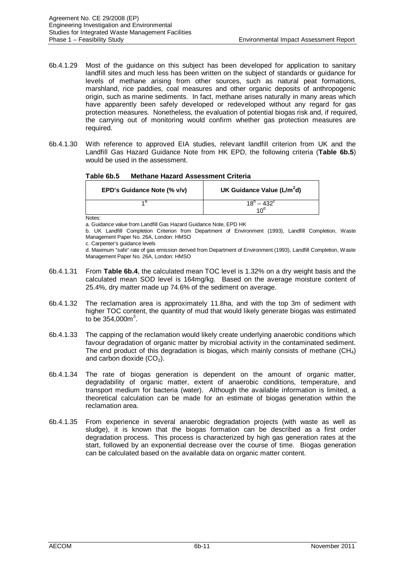- 6b.4.1.29 Most of the guidance on this subject has been developed for application to sanitary landfill sites and much less has been written on the subject of standards or guidance for levels of methane arising from other sources, such as natural peat formations, marshland, rice paddies, coal measures and other organic deposits of anthropogenic origin, such as marine sediments. In fact, methane arises naturally in many areas which have apparently been safely developed or redeveloped without any regard for gas protection measures. Nonetheless, the evaluation of potential biogas risk and, if required, the carrying out of monitoring would confirm whether gas protection measures are required.
- 6b.4.1.30 With reference to approved EIA studies, relevant landfill criterion from UK and the Landfill Gas Hazard Guidance Note from HK EPD, the following criteria (**Table 6b.5**) would be used in the assessment.

| Table 6b.5 | <b>Methane Hazard Assessment Criteria</b> |  |
|------------|-------------------------------------------|--|
|            |                                           |  |

| EPD's Guidance Note (% v/v) | UK Guidance Value (L/m <sup>2</sup> d)        |
|-----------------------------|-----------------------------------------------|
|                             | $18^{\circ} - 432^{\circ}$<br>10 <sup>d</sup> |

Notes:

a. Guidance value from Landfill Gas Hazard Guidance Note, EPD HK

b. UK Landfill Completion Criterion from Department of Environment (1993), Landfill Completion, Waste Management Paper No. 26A, London: HMSO

c. Carpenter's guidance levels

d. Maximum "safe" rate of gas emission derived from Department of Environment (1993), Landfill Completion, Waste Management Paper No. 26A, London: HMSO

- 6b.4.1.31 From **Table 6b.4**, the calculated mean TOC level is 1.32% on a dry weight basis and the calculated mean SOD level is 164mg/kg. Based on the average moisture content of 25.4%, dry matter made up 74.6% of the sediment on average.
- 6b.4.1.32 The reclamation area is approximately 11.8ha, and with the top 3m of sediment with higher TOC content, the quantity of mud that would likely generate biogas was estimated to be  $354,000m^3$ .
- 6b.4.1.33 The capping of the reclamation would likely create underlying anaerobic conditions which favour degradation of organic matter by microbial activity in the contaminated sediment. The end product of this degradation is biogas, which mainly consists of methane  $(CH_4)$ and carbon dioxide  $(CO<sub>2</sub>)$ .
- 6b.4.1.34 The rate of biogas generation is dependent on the amount of organic matter, degradability of organic matter, extent of anaerobic conditions, temperature, and transport medium for bacteria (water). Although the available information is limited, a theoretical calculation can be made for an estimate of biogas generation within the reclamation area.
- 6b.4.1.35 From experience in several anaerobic degradation projects (with waste as well as sludge), it is known that the biogas formation can be described as a first order degradation process. This process is characterized by high gas generation rates at the start, followed by an exponential decrease over the course of time. Biogas generation can be calculated based on the available data on organic matter content.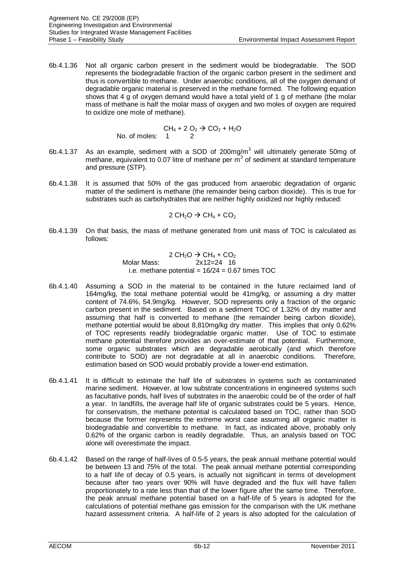6b.4.1.36 Not all organic carbon present in the sediment would be biodegradable. The SOD represents the biodegradable fraction of the organic carbon present in the sediment and thus is convertible to methane. Under anaerobic conditions, all of the oxygen demand of degradable organic material is preserved in the methane formed. The following equation shows that 4 g of oxygen demand would have a total yield of 1 g of methane (the molar mass of methane is half the molar mass of oxygen and two moles of oxygen are required to oxidize one mole of methane).

$$
CH_4 + 2 O_2 \rightarrow CO_2 + H_2O
$$
  
No. of moles: 1 2

- 6b.4.1.37 As an example, sediment with a SOD of 200mg/m<sup>3</sup> will ultimately generate 50mg of methane, equivalent to 0.07 litre of methane per  $\overline{m}^3$  of sediment at standard temperature and pressure (STP).
- 6b.4.1.38 It is assumed that 50% of the gas produced from anaerobic degradation of organic matter of the sediment is methane (the remainder being carbon dioxide). This is true for substrates such as carbohydrates that are neither highly oxidized nor highly reduced:

 $2 CH<sub>2</sub>O \rightarrow CH<sub>4</sub> + CO<sub>2</sub>$ 

6b.4.1.39 On that basis, the mass of methane generated from unit mass of TOC is calculated as follows:

> $2 \text{ CH}_2\text{O} \rightarrow \text{CH}_4 + \text{CO}_2$ Molar Mass: 2x12=24 16 i.e. methane potential =  $16/24 = 0.67$  times TOC

- 6b.4.1.40 Assuming a SOD in the material to be contained in the future reclaimed land of 164mg/kg, the total methane potential would be 41mg/kg, or assuming a dry matter content of 74.6%, 54.9mg/kg. However, SOD represents only a fraction of the organic carbon present in the sediment. Based on a sediment TOC of 1.32% of dry matter and assuming that half is converted to methane (the remainder being carbon dioxide), methane potential would be about 8,810mg/kg dry matter. This implies that only 0.62% of TOC represents readily biodegradable organic matter. Use of TOC to estimate methane potential therefore provides an over-estimate of that potential. Furthermore, some organic substrates which are degradable aerobically (and which therefore contribute to SOD) are not degradable at all in anaerobic conditions. Therefore, estimation based on SOD would probably provide a lower-end estimation.
- 6b.4.1.41 It is difficult to estimate the half life of substrates in systems such as contaminated marine sediment. However, at low substrate concentrations in engineered systems such as facultative ponds, half lives of substrates in the anaerobic could be of the order of half a year. In landfills, the average half life of organic substrates could be 5 years. Hence, for conservatism, the methane potential is calculated based on TOC, rather than SOD because the former represents the extreme worst case assuming all organic matter is biodegradable and convertible to methane. In fact, as indicated above, probably only 0.62% of the organic carbon is readily degradable. Thus, an analysis based on TOC alone will overestimate the impact.
- 6b.4.1.42 Based on the range of half-lives of 0.5-5 years, the peak annual methane potential would be between 13 and 75% of the total. The peak annual methane potential corresponding to a half life of decay of 0.5 years, is actually not significant in terms of development because after two years over 90% will have degraded and the flux will have fallen proportionately to a rate less than that of the lower figure after the same time. Therefore, the peak annual methane potential based on a half-life of 5 years is adopted for the calculations of potential methane gas emission for the comparison with the UK methane hazard assessment criteria. A half-life of 2 years is also adopted for the calculation of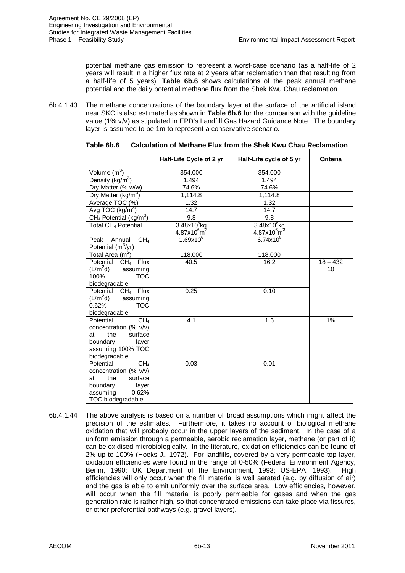potential methane gas emission to represent a worst-case scenario (as a half-life of 2 years will result in a higher flux rate at 2 years after reclamation than that resulting from a half-life of 5 years). **Table 6b.6** shows calculations of the peak annual methane potential and the daily potential methane flux from the Shek Kwu Chau reclamation.

6b.4.1.43 The methane concentrations of the boundary layer at the surface of the artificial island near SKC is also estimated as shown in **Table 6b.6** for the comparison with the guideline value (1% v/v) as stipulated in EPD's Landfill Gas Hazard Guidance Note. The boundary layer is assumed to be 1m to represent a conservative scenario.

|                                                                                                                                              | Half-Life Cycle of 2 yr | Half-Life cycle of 5 yr         | <b>Criteria</b>  |
|----------------------------------------------------------------------------------------------------------------------------------------------|-------------------------|---------------------------------|------------------|
| Volume $\overline{(m^3)}$                                                                                                                    | 354,000                 | 354,000                         |                  |
| Density (kg/m <sup>3</sup> )                                                                                                                 | 1,494                   | 1,494                           |                  |
| Dry Matter (% w/w)                                                                                                                           | 74.6%                   | 74.6%                           |                  |
| Dry Matter (kg/m <sup>3</sup> )                                                                                                              | 1,114.8                 | 1,114.8                         |                  |
| Average TOC (%)                                                                                                                              | 1.32                    | 1.32                            |                  |
| Avg TOC (kg/m <sup>3</sup> )                                                                                                                 | 14.7                    | 14.7                            |                  |
| CH <sub>4</sub> Potential ( $kg/m^3$ )                                                                                                       | 9.8                     | 9.8                             |                  |
| Total CH <sub>4</sub> Potential                                                                                                              | $3.48\times10^{6}$ kg   | $3.48x10^6$ kg                  |                  |
|                                                                                                                                              | $4.87x10^{6}m^{3}$      | $4.87\times10^6$ m <sup>3</sup> |                  |
| CH <sub>4</sub><br>Peak<br>Annual<br>Potential $(m^3/yr)$                                                                                    | $1.69x10^{6}$           | $6.74x10^{5}$                   |                  |
| Total Area $(m^2)$                                                                                                                           | 118,000                 | 118,000                         |                  |
| Potential<br>CH <sub>4</sub><br><b>Flux</b><br>$(L/m^2d)$<br>assuming<br>100%<br><b>TOC</b><br>biodegradable                                 | 40.5                    | 16.2                            | $18 - 432$<br>10 |
| Potential<br>CH <sub>4</sub><br>Flux<br>$(L/m^2d)$<br>assuming<br><b>TOC</b><br>0.62%<br>biodegradable                                       | 0.25                    | 0.10                            |                  |
| Potential<br>CH <sub>4</sub><br>concentration (% v/v)<br>the<br>surface<br>at<br>boundary<br>layer<br>assuming 100% TOC<br>biodegradable     | 4.1                     | 1.6                             | 1%               |
| Potential<br>CH <sub>4</sub><br>concentration (% v/v)<br>the<br>surface<br>at<br>boundary<br>layer<br>assuming<br>0.62%<br>TOC biodegradable | 0.03                    | 0.01                            |                  |

**Table 6b.6 Calculation of Methane Flux from the Shek Kwu Chau Reclamation**

6b.4.1.44 The above analysis is based on a number of broad assumptions which might affect the precision of the estimates. Furthermore, it takes no account of biological methane oxidation that will probably occur in the upper layers of the sediment. In the case of a uniform emission through a permeable, aerobic reclamation layer, methane (or part of it) can be oxidised microbiologically. In the literature, oxidation efficiencies can be found of 2% up to 100% (Hoeks J., 1972). For landfills, covered by a very permeable top layer, oxidation efficiencies were found in the range of 0-50% (Federal Environment Agency, Berlin, 1990; UK Department of the Environment, 1993; US-EPA, 1993). High efficiencies will only occur when the fill material is well aerated (e.g. by diffusion of air) and the gas is able to emit uniformly over the surface area. Low efficiencies, however, will occur when the fill material is poorly permeable for gases and when the gas generation rate is rather high, so that concentrated emissions can take place via fissures, or other preferential pathways (e.g. gravel layers).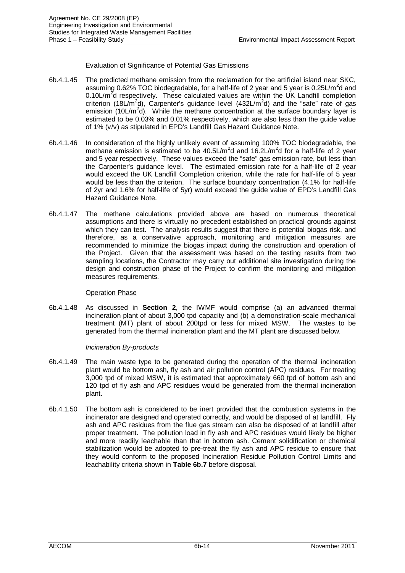Evaluation of Significance of Potential Gas Emissions

- 6b.4.1.45 The predicted methane emission from the reclamation for the artificial island near SKC, assuming 0.62% TOC biodegradable, for a half-life of 2 year and 5 year is 0.25L/m<sup>2</sup>d and 0.10L/m<sup>2</sup>d respectively. These calculated values are within the UK Landfill completion criterion (18L/m<sup>2</sup>d), Carpenter's guidance level (432L/m<sup>2</sup>d) and the "safe" rate of gas emission (10L/m<sup>2</sup>d). While the methane concentration at the surface boundary layer is estimated to be 0.03% and 0.01% respectively, which are also less than the guide value of 1% (v/v) as stipulated in EPD's Landfill Gas Hazard Guidance Note.
- 6b.4.1.46 In consideration of the highly unlikely event of assuming 100% TOC biodegradable, the methane emission is estimated to be  $40.5 L/m<sup>2</sup>d$  and  $16.2 L/m<sup>2</sup>d$  for a half-life of 2 year and 5 year respectively. These values exceed the "safe" gas emission rate, but less than the Carpenter's guidance level. The estimated emission rate for a half-life of 2 year would exceed the UK Landfill Completion criterion, while the rate for half-life of 5 year would be less than the criterion. The surface boundary concentration (4.1% for half-life of 2yr and 1.6% for half-life of 5yr) would exceed the guide value of EPD's Landfill Gas Hazard Guidance Note.
- 6b.4.1.47 The methane calculations provided above are based on numerous theoretical assumptions and there is virtually no precedent established on practical grounds against which they can test. The analysis results suggest that there is potential biogas risk, and therefore, as a conservative approach, monitoring and mitigation measures are recommended to minimize the biogas impact during the construction and operation of the Project. Given that the assessment was based on the testing results from two sampling locations, the Contractor may carry out additional site investigation during the design and construction phase of the Project to confirm the monitoring and mitigation measures requirements.

## Operation Phase

6b.4.1.48 As discussed in **Section 2**, the IWMF would comprise (a) an advanced thermal incineration plant of about 3,000 tpd capacity and (b) a demonstration-scale mechanical treatment (MT) plant of about 200tpd or less for mixed MSW. The wastes to be generated from the thermal incineration plant and the MT plant are discussed below.

## *Incineration By-products*

- 6b.4.1.49 The main waste type to be generated during the operation of the thermal incineration plant would be bottom ash, fly ash and air pollution control (APC) residues. For treating 3,000 tpd of mixed MSW, it is estimated that approximately 660 tpd of bottom ash and 120 tpd of fly ash and APC residues would be generated from the thermal incineration plant.
- 6b.4.1.50 The bottom ash is considered to be inert provided that the combustion systems in the incinerator are designed and operated correctly, and would be disposed of at landfill. Fly ash and APC residues from the flue gas stream can also be disposed of at landfill after proper treatment. The pollution load in fly ash and APC residues would likely be higher and more readily leachable than that in bottom ash. Cement solidification or chemical stabilization would be adopted to pre-treat the fly ash and APC residue to ensure that they would conform to the proposed Incineration Residue Pollution Control Limits and leachability criteria shown in **Table 6b.7** before disposal.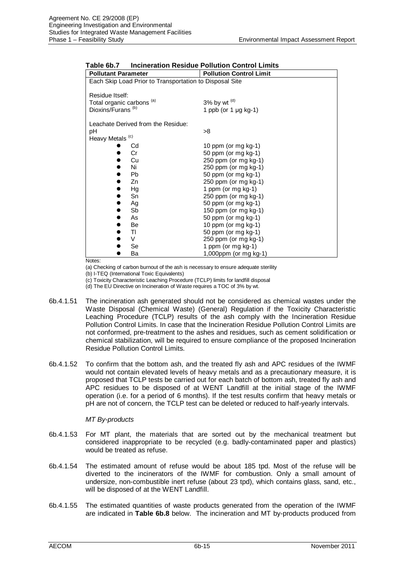| <b>Pollutant Parameter</b>                              | <b>Pollution Control Limit</b> |
|---------------------------------------------------------|--------------------------------|
|                                                         |                                |
| Each Skip Load Prior to Transportation to Disposal Site |                                |
|                                                         |                                |
| Residue Itself:                                         |                                |
| Total organic carbons <sup>(a)</sup>                    | 3% by wt $(d)$                 |
| Dioxins/Furans <sup>(b)</sup>                           | 1 ppb (or 1 µg kg-1)           |
|                                                         |                                |
| Leachate Derived from the Residue:                      |                                |
| pH                                                      | >8                             |
| Heavy Metals <sup>(c)</sup>                             |                                |
| Cd                                                      | 10 ppm (or mg kg-1)            |
| Cr                                                      | 50 ppm (or mg kg-1)            |
| Cu                                                      | 250 ppm (or mg kg-1)           |
| Ni                                                      | 250 ppm (or mg kg-1)           |
| Pb                                                      | 50 ppm (or mg kg-1)            |
| Zn                                                      | 250 ppm (or mg kg-1)           |
| Hg                                                      | 1 ppm (or mg kg-1)             |
| Sn                                                      | 250 ppm (or mg kg-1)           |
| Ag                                                      | 50 ppm (or mg kg-1)            |
| Sb                                                      | 150 ppm (or mg kg-1)           |
| As                                                      | 50 ppm (or mg kg-1)            |
| Be                                                      | 10 ppm (or mg $kg-1$ )         |
| TI                                                      | 50 ppm (or mg kg-1)            |
| $\vee$                                                  | 250 ppm (or mg kg-1)           |
| Se                                                      | 1 ppm (or mg kg-1)             |
| Ba                                                      | 1,000ppm (or mg kg-1)          |
|                                                         |                                |

| Table 6b.7 | <b>Incineration Residue Pollution Control Limits</b> |  |  |
|------------|------------------------------------------------------|--|--|
|            |                                                      |  |  |

Notes:

(a) Checking of carbon burnout of the ash is necessary to ensure adequate sterility

(b) I-TEQ (International Toxic Equivalents)

(c) Toxicity Characteristic Leaching Procedure (TCLP) limits for landfill disposal

(d) The EU Directive on Incineration of Waste requires a TOC of 3% by wt.

- 6b.4.1.51 The incineration ash generated should not be considered as chemical wastes under the Waste Disposal (Chemical Waste) (General) Regulation if the Toxicity Characteristic Leaching Procedure (TCLP) results of the ash comply with the Incineration Residue Pollution Control Limits. In case that the Incineration Residue Pollution Control Limits are not conformed, pre-treatment to the ashes and residues, such as cement solidification or chemical stabilization, will be required to ensure compliance of the proposed Incineration Residue Pollution Control Limits.
- 6b.4.1.52 To confirm that the bottom ash, and the treated fly ash and APC residues of the IWMF would not contain elevated levels of heavy metals and as a precautionary measure, it is proposed that TCLP tests be carried out for each batch of bottom ash, treated fly ash and APC residues to be disposed of at WENT Landfill at the initial stage of the IWMF operation (i.e. for a period of 6 months). If the test results confirm that heavy metals or pH are not of concern, the TCLP test can be deleted or reduced to half-yearly intervals.

## *MT By-products*

- 6b.4.1.53 For MT plant, the materials that are sorted out by the mechanical treatment but considered inappropriate to be recycled (e.g. badly-contaminated paper and plastics) would be treated as refuse.
- 6b.4.1.54 The estimated amount of refuse would be about 185 tpd. Most of the refuse will be diverted to the incinerators of the IWMF for combustion. Only a small amount of undersize, non-combustible inert refuse (about 23 tpd), which contains glass, sand, etc., will be disposed of at the WENT Landfill.
- 6b.4.1.55 The estimated quantities of waste products generated from the operation of the IWMF are indicated in **Table 6b.8** below. The incineration and MT by-products produced from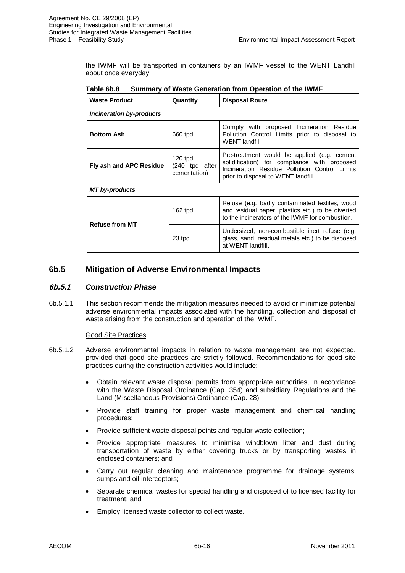the IWMF will be transported in containers by an IWMF vessel to the WENT Landfill about once everyday.

| <b>Waste Product</b>     | Quantity                                    | <b>Disposal Route</b>                                                                                                                                                               |
|--------------------------|---------------------------------------------|-------------------------------------------------------------------------------------------------------------------------------------------------------------------------------------|
| Incineration by-products |                                             |                                                                                                                                                                                     |
| <b>Bottom Ash</b>        | 660 tpd                                     | Comply with proposed Incineration Residue<br>Pollution Control Limits prior to disposal to<br><b>WENT landfill</b>                                                                  |
| Fly ash and APC Residue  | $120$ tpd<br>(240 tpd after<br>cementation) | Pre-treatment would be applied (e.g. cement<br>solidification) for compliance with proposed<br>Incineration Residue Pollution Control Limits<br>prior to disposal to WENT landfill. |
| MT by-products           |                                             |                                                                                                                                                                                     |
| <b>Refuse from MT</b>    | $162$ tpd                                   | Refuse (e.g. badly contaminated textiles, wood<br>and residual paper, plastics etc.) to be diverted<br>to the incinerators of the IWMF for combustion.                              |
|                          | 23 tpd                                      | Undersized, non-combustible inert refuse (e.g.<br>glass, sand, residual metals etc.) to be disposed<br>at WENT landfill.                                                            |

**Table 6b.8 Summary of Waste Generation from Operation of the IWMF**

# **6b.5 Mitigation of Adverse Environmental Impacts**

# **6b.5.1** *Construction Phase*

6b.5.1.1 This section recommends the mitigation measures needed to avoid or minimize potential adverse environmental impacts associated with the handling, collection and disposal of waste arising from the construction and operation of the IWMF.

## Good Site Practices

- 6b.5.1.2 Adverse environmental impacts in relation to waste management are not expected, provided that good site practices are strictly followed. Recommendations for good site practices during the construction activities would include:
	- Obtain relevant waste disposal permits from appropriate authorities, in accordance with the Waste Disposal Ordinance (Cap. 354) and subsidiary Regulations and the Land (Miscellaneous Provisions) Ordinance (Cap. 28);
	- Provide staff training for proper waste management and chemical handling procedures;
	- Provide sufficient waste disposal points and regular waste collection:
	- Provide appropriate measures to minimise windblown litter and dust during transportation of waste by either covering trucks or by transporting wastes in enclosed containers; and
	- Carry out regular cleaning and maintenance programme for drainage systems, sumps and oil interceptors;
	- Separate chemical wastes for special handling and disposed of to licensed facility for treatment; and
	- Employ licensed waste collector to collect waste.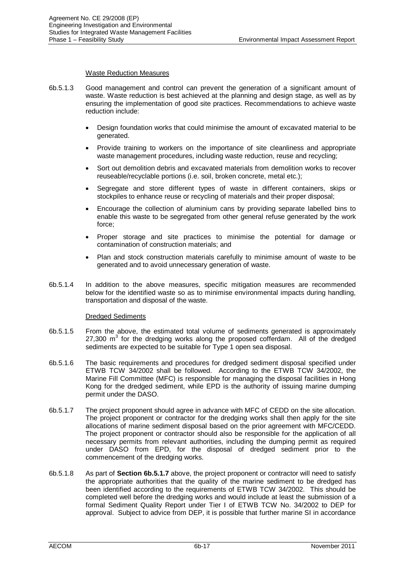#### Waste Reduction Measures

- 6b.5.1.3 Good management and control can prevent the generation of a significant amount of waste. Waste reduction is best achieved at the planning and design stage, as well as by ensuring the implementation of good site practices. Recommendations to achieve waste reduction include:
	- Design foundation works that could minimise the amount of excavated material to be generated.
	- Provide training to workers on the importance of site cleanliness and appropriate waste management procedures, including waste reduction, reuse and recycling;
	- Sort out demolition debris and excavated materials from demolition works to recover reuseable/recyclable portions (i.e. soil, broken concrete, metal etc.);
	- Segregate and store different types of waste in different containers, skips or stockpiles to enhance reuse or recycling of materials and their proper disposal;
	- Encourage the collection of aluminium cans by providing separate labelled bins to enable this waste to be segregated from other general refuse generated by the work force;
	- Proper storage and site practices to minimise the potential for damage or contamination of construction materials; and
	- Plan and stock construction materials carefully to minimise amount of waste to be generated and to avoid unnecessary generation of waste.
- 6b.5.1.4 In addition to the above measures, specific mitigation measures are recommended below for the identified waste so as to minimise environmental impacts during handling, transportation and disposal of the waste.

## Dredged Sediments

- 6b.5.1.5 From the above, the estimated total volume of sediments generated is approximately 27,300  $m<sup>3</sup>$  for the dredging works along the proposed cofferdam. All of the dredged sediments are expected to be suitable for Type 1 open sea disposal.
- 6b.5.1.6 The basic requirements and procedures for dredged sediment disposal specified under ETWB TCW 34/2002 shall be followed. According to the ETWB TCW 34/2002, the Marine Fill Committee (MFC) is responsible for managing the disposal facilities in Hong Kong for the dredged sediment, while EPD is the authority of issuing marine dumping permit under the DASO.
- 6b.5.1.7 The project proponent should agree in advance with MFC of CEDD on the site allocation. The project proponent or contractor for the dredging works shall then apply for the site allocations of marine sediment disposal based on the prior agreement with MFC/CEDD. The project proponent or contractor should also be responsible for the application of all necessary permits from relevant authorities, including the dumping permit as required under DASO from EPD, for the disposal of dredged sediment prior to the commencement of the dredging works.
- 6b.5.1.8 As part of **Section 6b.5.1.7** above, the project proponent or contractor will need to satisfy the appropriate authorities that the quality of the marine sediment to be dredged has been identified according to the requirements of ETWB TCW 34/2002. This should be completed well before the dredging works and would include at least the submission of a formal Sediment Quality Report under Tier I of ETWB TCW No. 34/2002 to DEP for approval. Subject to advice from DEP, it is possible that further marine SI in accordance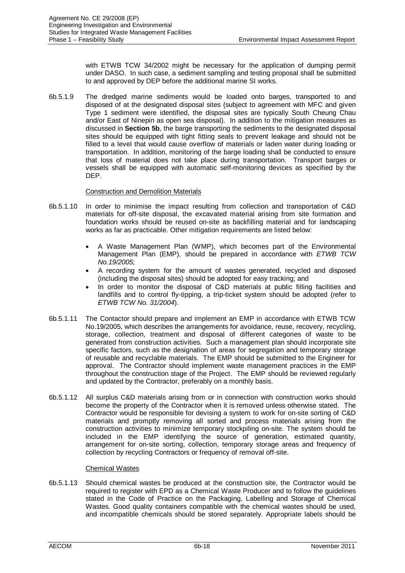with ETWB TCW 34/2002 might be necessary for the application of dumping permit under DASO. In such case, a sediment sampling and testing proposal shall be submitted to and approved by DEP before the additional marine SI works.

6b.5.1.9 The dredged marine sediments would be loaded onto barges, transported to and disposed of at the designated disposal sites (subject to agreement with MFC and given Type 1 sediment were identified, the disposal sites are typically South Cheung Chau and/or East of Ninepin as open sea disposal). In addition to the mitigation measures as discussed in **Section 5b**, the barge transporting the sediments to the designated disposal sites should be equipped with tight fitting seals to prevent leakage and should not be filled to a level that would cause overflow of materials or laden water during loading or transportation. In addition, monitoring of the barge loading shall be conducted to ensure that loss of material does not take place during transportation. Transport barges or vessels shall be equipped with automatic self-monitoring devices as specified by the DEP.

## Construction and Demolition Materials

- 6b.5.1.10 In order to minimise the impact resulting from collection and transportation of C&D materials for off-site disposal, the excavated material arising from site formation and foundation works should be reused on-site as backfilling material and for landscaping works as far as practicable. Other mitigation requirements are listed below:
	- A Waste Management Plan (WMP), which becomes part of the Environmental Management Plan (EMP), should be prepared in accordance with *ETWB TCW No.19/2005*;
	- A recording system for the amount of wastes generated, recycled and disposed (including the disposal sites) should be adopted for easy tracking; and
	- In order to monitor the disposal of C&D materials at public filling facilities and landfills and to control fly-tipping, a trip-ticket system should be adopted (refer to *ETWB TCW No. 31/2004*).
- 6b.5.1.11 The Contactor should prepare and implement an EMP in accordance with ETWB TCW No.19/2005, which describes the arrangements for avoidance, reuse, recovery, recycling, storage, collection, treatment and disposal of different categories of waste to be generated from construction activities. Such a management plan should incorporate site specific factors, such as the designation of areas for segregation and temporary storage of reusable and recyclable materials. The EMP should be submitted to the Engineer for approval. The Contractor should implement waste management practices in the EMP throughout the construction stage of the Project. The EMP should be reviewed regularly and updated by the Contractor, preferably on a monthly basis.
- 6b.5.1.12 All surplus C&D materials arising from or in connection with construction works should become the property of the Contractor when it is removed unless otherwise stated. The Contractor would be responsible for devising a system to work for on-site sorting of C&D materials and promptly removing all sorted and process materials arising from the construction activities to minimize temporary stockpiling on-site. The system should be included in the EMP identifying the source of generation, estimated quantity, arrangement for on-site sorting, collection, temporary storage areas and frequency of collection by recycling Contractors or frequency of removal off-site.

#### Chemical Wastes

6b.5.1.13 Should chemical wastes be produced at the construction site, the Contractor would be required to register with EPD as a Chemical Waste Producer and to follow the guidelines stated in the Code of Practice on the Packaging, Labelling and Storage of Chemical Wastes. Good quality containers compatible with the chemical wastes should be used, and incompatible chemicals should be stored separately. Appropriate labels should be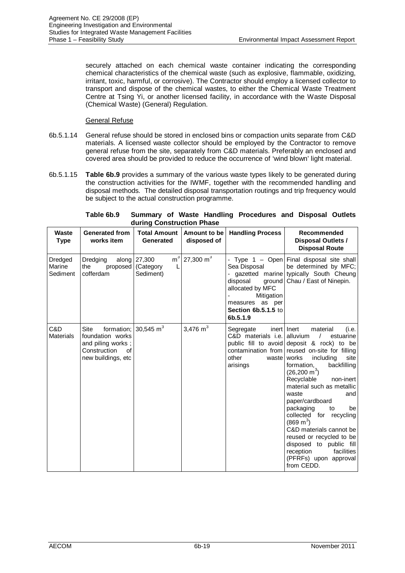securely attached on each chemical waste container indicating the corresponding chemical characteristics of the chemical waste (such as explosive, flammable, oxidizing, irritant, toxic, harmful, or corrosive). The Contractor should employ a licensed collector to transport and dispose of the chemical wastes, to either the Chemical Waste Treatment Centre at Tsing Yi, or another licensed facility, in accordance with the Waste Disposal (Chemical Waste) (General) Regulation.

## General Refuse

- 6b.5.1.14 General refuse should be stored in enclosed bins or compaction units separate from C&D materials. A licensed waste collector should be employed by the Contractor to remove general refuse from the site, separately from C&D materials. Preferably an enclosed and covered area should be provided to reduce the occurrence of 'wind blown' light material.
- 6b.5.1.15 **Table 6b.9** provides a summary of the various waste types likely to be generated during the construction activities for the IWMF, together with the recommended handling and disposal methods. The detailed disposal transportation routings and trip frequency would be subject to the actual construction programme.

| aaring oonsu acuon masc       |                                                                                            |                                                        |                                      |                                                                                                                                       |                                                                                                                                                                                                                                                                                                                                                                                                                                                                                                                                                                            |  |  |
|-------------------------------|--------------------------------------------------------------------------------------------|--------------------------------------------------------|--------------------------------------|---------------------------------------------------------------------------------------------------------------------------------------|----------------------------------------------------------------------------------------------------------------------------------------------------------------------------------------------------------------------------------------------------------------------------------------------------------------------------------------------------------------------------------------------------------------------------------------------------------------------------------------------------------------------------------------------------------------------------|--|--|
| Waste<br><b>Type</b>          | <b>Generated from</b><br>works item                                                        | Total Amount   Amount to be  <br>Generated             | disposed of                          | <b>Handling Process</b>                                                                                                               | Recommended<br>Disposal Outlets /<br><b>Disposal Route</b>                                                                                                                                                                                                                                                                                                                                                                                                                                                                                                                 |  |  |
| Dredged<br>Marine<br>Sediment | Dredging<br>the<br>cofferdam                                                               | along $27,300$<br>proposed (Category<br>L<br>Sediment) | $\mathrm{m}^3$ 27,300 $\mathrm{m}^3$ | Sea Disposal<br>- gazetted marine<br>disposal<br>allocated by MFC<br>Mitigation<br>measures as per<br>Section 6b.5.1.5 to<br>6b.5.1.9 | Type $1 -$ Open Final disposal site shall<br>be determined by MFC;<br>typically South Cheung<br>ground   Chau / East of Ninepin.                                                                                                                                                                                                                                                                                                                                                                                                                                           |  |  |
| C&D<br><b>Materials</b>       | Site<br>foundation works<br>and piling works;<br>Construction<br>of<br>new buildings, etc. | formation; $30,545 \text{ m}^3$                        | 3,476 $m3$                           | Segregate<br>C&D materials i.e.<br>other<br>wastel<br>arisings                                                                        | inert   Inert<br>(i.e.<br>material<br>alluvium<br>estuarine<br>public fill to avoid deposit & rock) to be<br>contamination from reused on-site for filling<br>works<br>including<br>site<br>formation,<br>backfilling<br>$(26, 200 \text{ m}^3)$<br>Recyclable<br>non-inert<br>material such as metallic<br>waste<br>and<br>paper/cardboard<br>packaging<br>to<br>be<br>collected for recycling<br>$(869 \text{ m}^3)$<br>C&D materials cannot be<br>reused or recycled to be<br>disposed to public fill<br>facilities<br>reception<br>(PFRFs) upon approval<br>from CEDD. |  |  |

| Table 6b.9 Summary of Waste Handling Procedures and Disposal Outlets |                           |  |  |  |  |
|----------------------------------------------------------------------|---------------------------|--|--|--|--|
|                                                                      | during Construction Phase |  |  |  |  |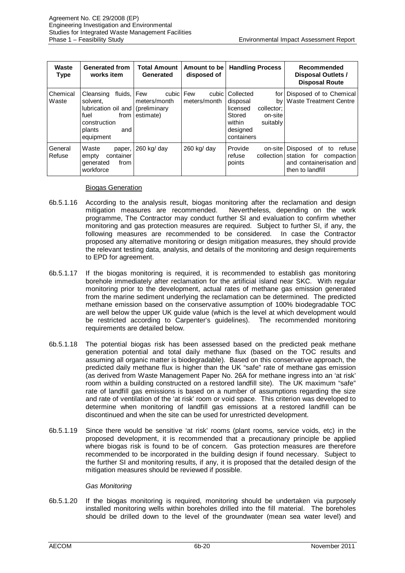| Waste<br><b>Type</b> | <b>Generated from</b><br>works item                                                                                   | <b>Total Amount</b><br>Generated                                  | Amount to be<br>disposed of | <b>Handling Process</b>                                                                                                    | Recommended<br>Disposal Outlets /<br><b>Disposal Route</b>                                                               |
|----------------------|-----------------------------------------------------------------------------------------------------------------------|-------------------------------------------------------------------|-----------------------------|----------------------------------------------------------------------------------------------------------------------------|--------------------------------------------------------------------------------------------------------------------------|
| Chemical<br>Waste    | fluids.<br>Cleansing<br>solvent.<br>lubrication oil and<br>fuel<br>from<br>construction<br>plants<br>and<br>equipment | cubic<br>Few<br>meters/month<br><i>(preliminary)</i><br>estimate) | Few<br>meters/month         | cubic Collected<br>disposal<br>licensed<br>collector:<br>Stored<br>on-site<br>within<br>suitably<br>designed<br>containers | for Disposed of to Chemical<br>by Waste Treatment Centre                                                                 |
| General<br>Refuse    | Waste<br>paper.<br>container<br>empty<br>from<br>generated<br>workforce                                               | 260 kg/ day                                                       | $260$ kg/ day               | Provide<br>refuse<br>points                                                                                                | on-site Disposed of to<br>refuse<br>collection station for<br>compaction<br>and containerisation and<br>then to landfill |

## Biogas Generation

- 6b.5.1.16 According to the analysis result, biogas monitoring after the reclamation and design mitigation measures are recommended. Nevertheless, depending on the work programme, The Contractor may conduct further SI and evaluation to confirm whether monitoring and gas protection measures are required. Subject to further SI, if any, the following measures are recommended to be considered. In case the Contractor proposed any alternative monitoring or design mitigation measures, they should provide the relevant testing data, analysis, and details of the monitoring and design requirements to EPD for agreement.
- 6b.5.1.17 If the biogas monitoring is required, it is recommended to establish gas monitoring borehole immediately after reclamation for the artificial island near SKC. With regular monitoring prior to the development, actual rates of methane gas emission generated from the marine sediment underlying the reclamation can be determined. The predicted methane emission based on the conservative assumption of 100% biodegradable TOC are well below the upper UK guide value (which is the level at which development would be restricted according to Carpenter's guidelines). The recommended monitoring requirements are detailed below.
- 6b.5.1.18 The potential biogas risk has been assessed based on the predicted peak methane generation potential and total daily methane flux (based on the TOC results and assuming all organic matter is biodegradable). Based on this conservative approach, the predicted daily methane flux is higher than the UK "safe" rate of methane gas emission (as derived from Waste Management Paper No. 26A for methane ingress into an 'at risk' room within a building constructed on a restored landfill site). The UK maximum "safe" rate of landfill gas emissions is based on a number of assumptions regarding the size and rate of ventilation of the 'at risk' room or void space. This criterion was developed to determine when monitoring of landfill gas emissions at a restored landfill can be discontinued and when the site can be used for unrestricted development.
- 6b.5.1.19 Since there would be sensitive 'at risk' rooms (plant rooms, service voids, etc) in the proposed development, it is recommended that a precautionary principle be applied where biogas risk is found to be of concern. Gas protection measures are therefore recommended to be incorporated in the building design if found necessary. Subject to the further SI and monitoring results, if any, it is proposed that the detailed design of the mitigation measures should be reviewed if possible.

# *Gas Monitoring*

6b.5.1.20 If the biogas monitoring is required, monitoring should be undertaken via purposely installed monitoring wells within boreholes drilled into the fill material. The boreholes should be drilled down to the level of the groundwater (mean sea water level) and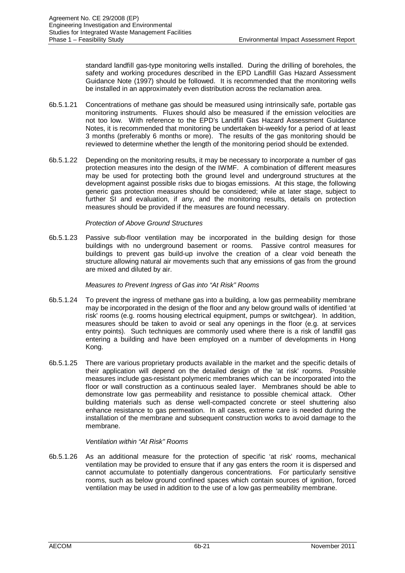standard landfill gas-type monitoring wells installed. During the drilling of boreholes, the safety and working procedures described in the EPD Landfill Gas Hazard Assessment Guidance Note (1997) should be followed. It is recommended that the monitoring wells be installed in an approximately even distribution across the reclamation area.

- 6b.5.1.21 Concentrations of methane gas should be measured using intrinsically safe, portable gas monitoring instruments. Fluxes should also be measured if the emission velocities are not too low. With reference to the EPD's Landfill Gas Hazard Assessment Guidance Notes, it is recommended that monitoring be undertaken bi-weekly for a period of at least 3 months (preferably 6 months or more). The results of the gas monitoring should be reviewed to determine whether the length of the monitoring period should be extended.
- 6b.5.1.22 Depending on the monitoring results, it may be necessary to incorporate a number of gas protection measures into the design of the IWMF. A combination of different measures may be used for protecting both the ground level and underground structures at the development against possible risks due to biogas emissions. At this stage, the following generic gas protection measures should be considered; while at later stage, subject to further SI and evaluation, if any, and the monitoring results, details on protection measures should be provided if the measures are found necessary.

## *Protection of Above Ground Structures*

6b.5.1.23 Passive sub-floor ventilation may be incorporated in the building design for those buildings with no underground basement or rooms. Passive control measures for buildings to prevent gas build-up involve the creation of a clear void beneath the structure allowing natural air movements such that any emissions of gas from the ground are mixed and diluted by air.

## *Measures to Prevent Ingress of Gas into "At Risk" Rooms*

- 6b.5.1.24 To prevent the ingress of methane gas into a building, a low gas permeability membrane may be incorporated in the design of the floor and any below ground walls of identified 'at risk' rooms (e.g. rooms housing electrical equipment, pumps or switchgear). In addition, measures should be taken to avoid or seal any openings in the floor (e.g. at services entry points). Such techniques are commonly used where there is a risk of landfill gas entering a building and have been employed on a number of developments in Hong Kong.
- 6b.5.1.25 There are various proprietary products available in the market and the specific details of their application will depend on the detailed design of the 'at risk' rooms. Possible measures include gas-resistant polymeric membranes which can be incorporated into the floor or wall construction as a continuous sealed layer. Membranes should be able to demonstrate low gas permeability and resistance to possible chemical attack. Other building materials such as dense well-compacted concrete or steel shuttering also enhance resistance to gas permeation. In all cases, extreme care is needed during the installation of the membrane and subsequent construction works to avoid damage to the membrane.

## *Ventilation within "At Risk" Rooms*

6b.5.1.26 As an additional measure for the protection of specific 'at risk' rooms, mechanical ventilation may be provided to ensure that if any gas enters the room it is dispersed and cannot accumulate to potentially dangerous concentrations. For particularly sensitive rooms, such as below ground confined spaces which contain sources of ignition, forced ventilation may be used in addition to the use of a low gas permeability membrane.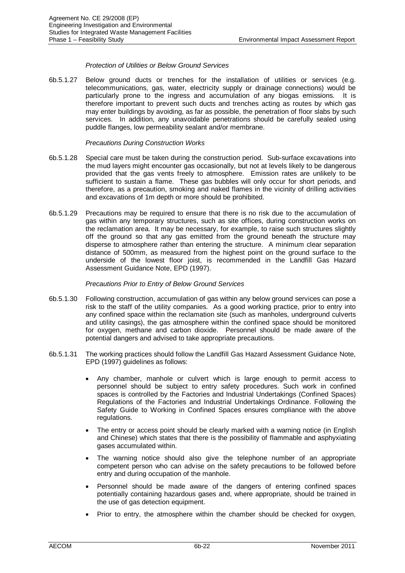## *Protection of Utilities or Below Ground Services*

6b.5.1.27 Below ground ducts or trenches for the installation of utilities or services (e.g. telecommunications, gas, water, electricity supply or drainage connections) would be particularly prone to the ingress and accumulation of any biogas emissions. It is therefore important to prevent such ducts and trenches acting as routes by which gas may enter buildings by avoiding, as far as possible, the penetration of floor slabs by such services. In addition, any unavoidable penetrations should be carefully sealed using puddle flanges, low permeability sealant and/or membrane.

### *Precautions During Construction Works*

- 6b.5.1.28 Special care must be taken during the construction period. Sub-surface excavations into the mud layers might encounter gas occasionally, but not at levels likely to be dangerous provided that the gas vents freely to atmosphere. Emission rates are unlikely to be sufficient to sustain a flame. These gas bubbles will only occur for short periods, and therefore, as a precaution, smoking and naked flames in the vicinity of drilling activities and excavations of 1m depth or more should be prohibited.
- 6b.5.1.29 Precautions may be required to ensure that there is no risk due to the accumulation of gas within any temporary structures, such as site offices, during construction works on the reclamation area. It may be necessary, for example, to raise such structures slightly off the ground so that any gas emitted from the ground beneath the structure may disperse to atmosphere rather than entering the structure. A minimum clear separation distance of 500mm, as measured from the highest point on the ground surface to the underside of the lowest floor joist, is recommended in the Landfill Gas Hazard Assessment Guidance Note, EPD (1997).

### *Precautions Prior to Entry of Below Ground Services*

- 6b.5.1.30 Following construction, accumulation of gas within any below ground services can pose a risk to the staff of the utility companies. As a good working practice, prior to entry into any confined space within the reclamation site (such as manholes, underground culverts and utility casings), the gas atmosphere within the confined space should be monitored for oxygen, methane and carbon dioxide. Personnel should be made aware of the potential dangers and advised to take appropriate precautions.
- 6b.5.1.31 The working practices should follow the Landfill Gas Hazard Assessment Guidance Note, EPD (1997) guidelines as follows:
	- Any chamber, manhole or culvert which is large enough to permit access to personnel should be subject to entry safety procedures. Such work in confined spaces is controlled by the Factories and Industrial Undertakings (Confined Spaces) Regulations of the Factories and Industrial Undertakings Ordinance. Following the Safety Guide to Working in Confined Spaces ensures compliance with the above regulations.
	- The entry or access point should be clearly marked with a warning notice (in English and Chinese) which states that there is the possibility of flammable and asphyxiating gases accumulated within.
	- The warning notice should also give the telephone number of an appropriate competent person who can advise on the safety precautions to be followed before entry and during occupation of the manhole.
	- Personnel should be made aware of the dangers of entering confined spaces potentially containing hazardous gases and, where appropriate, should be trained in the use of gas detection equipment.
	- Prior to entry, the atmosphere within the chamber should be checked for oxygen,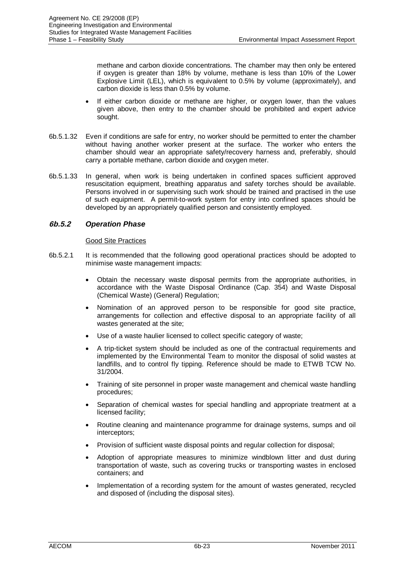methane and carbon dioxide concentrations. The chamber may then only be entered if oxygen is greater than 18% by volume, methane is less than 10% of the Lower Explosive Limit (LEL), which is equivalent to 0.5% by volume (approximately), and carbon dioxide is less than 0.5% by volume.

- If either carbon dioxide or methane are higher, or oxygen lower, than the values given above, then entry to the chamber should be prohibited and expert advice sought.
- 6b.5.1.32 Even if conditions are safe for entry, no worker should be permitted to enter the chamber without having another worker present at the surface. The worker who enters the chamber should wear an appropriate safety/recovery harness and, preferably, should carry a portable methane, carbon dioxide and oxygen meter.
- 6b.5.1.33 In general, when work is being undertaken in confined spaces sufficient approved resuscitation equipment, breathing apparatus and safety torches should be available. Persons involved in or supervising such work should be trained and practised in the use of such equipment. A permit-to-work system for entry into confined spaces should be developed by an appropriately qualified person and consistently employed.

# **6b.5.2** *Operation Phase*

#### Good Site Practices

- 6b.5.2.1 It is recommended that the following good operational practices should be adopted to minimise waste management impacts:
	- Obtain the necessary waste disposal permits from the appropriate authorities, in accordance with the Waste Disposal Ordinance (Cap. 354) and Waste Disposal (Chemical Waste) (General) Regulation;
	- Nomination of an approved person to be responsible for good site practice, arrangements for collection and effective disposal to an appropriate facility of all wastes generated at the site;
	- Use of a waste haulier licensed to collect specific category of waste;
	- A trip-ticket system should be included as one of the contractual requirements and implemented by the Environmental Team to monitor the disposal of solid wastes at landfills, and to control fly tipping. Reference should be made to ETWB TCW No. 31/2004.
	- x Training of site personnel in proper waste management and chemical waste handling procedures;
	- Separation of chemical wastes for special handling and appropriate treatment at a licensed facility;
	- x Routine cleaning and maintenance programme for drainage systems, sumps and oil interceptors;
	- Provision of sufficient waste disposal points and regular collection for disposal;
	- Adoption of appropriate measures to minimize windblown litter and dust during transportation of waste, such as covering trucks or transporting wastes in enclosed containers; and
	- Implementation of a recording system for the amount of wastes generated, recycled and disposed of (including the disposal sites).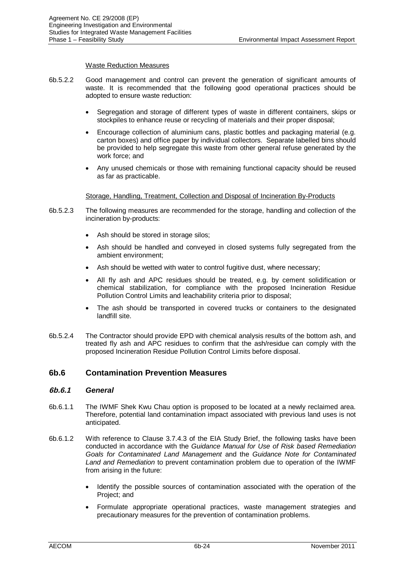## Waste Reduction Measures

- 6b.5.2.2 Good management and control can prevent the generation of significant amounts of waste. It is recommended that the following good operational practices should be adopted to ensure waste reduction:
	- Segregation and storage of different types of waste in different containers, skips or stockpiles to enhance reuse or recycling of materials and their proper disposal;
	- Encourage collection of aluminium cans, plastic bottles and packaging material (e.g. carton boxes) and office paper by individual collectors. Separate labelled bins should be provided to help segregate this waste from other general refuse generated by the work force; and
	- Any unused chemicals or those with remaining functional capacity should be reused as far as practicable.

## Storage, Handling, Treatment, Collection and Disposal of Incineration By-Products

- 6b.5.2.3 The following measures are recommended for the storage, handling and collection of the incineration by-products:
	- Ash should be stored in storage silos;
	- Ash should be handled and conveyed in closed systems fully segregated from the ambient environment;
	- Ash should be wetted with water to control fugitive dust, where necessary;
	- All fly ash and APC residues should be treated, e.g. by cement solidification or chemical stabilization, for compliance with the proposed Incineration Residue Pollution Control Limits and leachability criteria prior to disposal;
	- The ash should be transported in covered trucks or containers to the designated landfill site.
- 6b.5.2.4 The Contractor should provide EPD with chemical analysis results of the bottom ash, and treated fly ash and APC residues to confirm that the ash/residue can comply with the proposed Incineration Residue Pollution Control Limits before disposal.

# **6b.6 Contamination Prevention Measures**

## **6b.6.1** *General*

- 6b.6.1.1 The IWMF Shek Kwu Chau option is proposed to be located at a newly reclaimed area. Therefore, potential land contamination impact associated with previous land uses is not anticipated.
- 6b.6.1.2 With reference to Clause 3.7.4.3 of the EIA Study Brief, the following tasks have been conducted in accordance with the *Guidance Manual for Use of Risk based Remediation Goals for Contaminated Land Management* and the *Guidance Note for Contaminated Land and Remediation* to prevent contamination problem due to operation of the IWMF from arising in the future:
	- Identify the possible sources of contamination associated with the operation of the Project; and
	- Formulate appropriate operational practices, waste management strategies and precautionary measures for the prevention of contamination problems.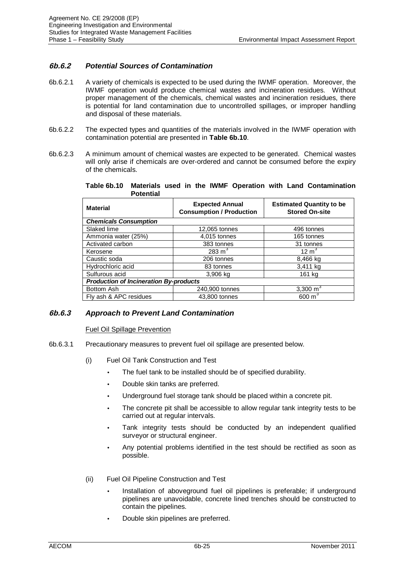# **6b.6.2** *Potential Sources of Contamination*

- 6b.6.2.1 A variety of chemicals is expected to be used during the IWMF operation. Moreover, the IWMF operation would produce chemical wastes and incineration residues. Without proper management of the chemicals, chemical wastes and incineration residues, there is potential for land contamination due to uncontrolled spillages, or improper handling and disposal of these materials.
- 6b.6.2.2 The expected types and quantities of the materials involved in the IWMF operation with contamination potential are presented in **Table 6b.10**.
- 6b.6.2.3 A minimum amount of chemical wastes are expected to be generated. Chemical wastes will only arise if chemicals are over-ordered and cannot be consumed before the expiry of the chemicals.

**Table 6b.10 Materials used in the IWMF Operation with Land Contamination Potential**

| <b>Material</b>                               | <b>Expected Annual</b><br><b>Consumption / Production</b> | <b>Estimated Quantity to be</b><br><b>Stored On-site</b> |  |  |  |  |
|-----------------------------------------------|-----------------------------------------------------------|----------------------------------------------------------|--|--|--|--|
| <b>Chemicals Consumption</b>                  |                                                           |                                                          |  |  |  |  |
| Slaked lime                                   | 12,065 tonnes                                             | 496 tonnes                                               |  |  |  |  |
| Ammonia water (25%)                           | 4,015 tonnes                                              | 165 tonnes                                               |  |  |  |  |
| Activated carbon                              | 383 tonnes                                                | 31 tonnes                                                |  |  |  |  |
| Kerosene                                      | $283 \text{ m}^3$                                         | $12 \text{ m}^3$                                         |  |  |  |  |
| Caustic soda                                  | 206 tonnes                                                | 8,466 kg                                                 |  |  |  |  |
| Hydrochloric acid                             | 83 tonnes                                                 | 3,411 kg                                                 |  |  |  |  |
| Sulfurous acid                                | 3,906 kg                                                  | 161 kg                                                   |  |  |  |  |
| <b>Production of Incineration By-products</b> |                                                           |                                                          |  |  |  |  |
| Bottom Ash                                    | 240,900 tonnes                                            | 3,300 $m3$                                               |  |  |  |  |
| Fly ash & APC residues                        | 43.800 tonnes                                             | $600 \text{ m}^3$                                        |  |  |  |  |

# **6b.6.3** *Approach to Prevent Land Contamination*

## Fuel Oil Spillage Prevention

- 6b.6.3.1 Precautionary measures to prevent fuel oil spillage are presented below.
	- (i) Fuel Oil Tank Construction and Test
		- The fuel tank to be installed should be of specified durability.
		- Double skin tanks are preferred.
		- Underground fuel storage tank should be placed within a concrete pit.
		- The concrete pit shall be accessible to allow regular tank integrity tests to be carried out at regular intervals.
		- Tank integrity tests should be conducted by an independent qualified surveyor or structural engineer.
		- Any potential problems identified in the test should be rectified as soon as possible.
	- (ii) Fuel Oil Pipeline Construction and Test
		- Installation of aboveground fuel oil pipelines is preferable; if underground pipelines are unavoidable, concrete lined trenches should be constructed to contain the pipelines.
		- Double skin pipelines are preferred.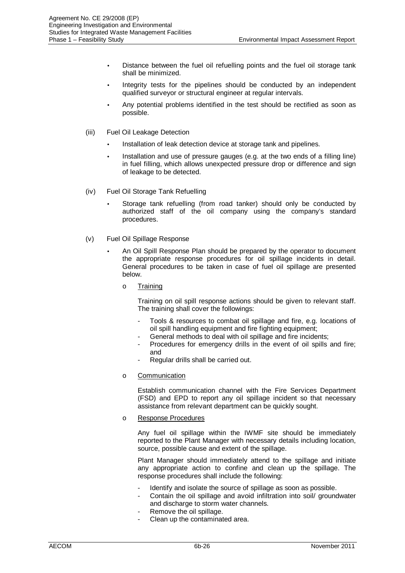- Distance between the fuel oil refuelling points and the fuel oil storage tank shall be minimized.
- Integrity tests for the pipelines should be conducted by an independent qualified surveyor or structural engineer at regular intervals.
- Any potential problems identified in the test should be rectified as soon as possible.
- (iii) Fuel Oil Leakage Detection
	- Installation of leak detection device at storage tank and pipelines.
	- Installation and use of pressure gauges (e.g. at the two ends of a filling line) in fuel filling, which allows unexpected pressure drop or difference and sign of leakage to be detected.
- (iv) Fuel Oil Storage Tank Refuelling
	- Storage tank refuelling (from road tanker) should only be conducted by authorized staff of the oil company using the company's standard procedures.
- (v) Fuel Oil Spillage Response
	- An Oil Spill Response Plan should be prepared by the operator to document the appropriate response procedures for oil spillage incidents in detail. General procedures to be taken in case of fuel oil spillage are presented below.
		- o Training

Training on oil spill response actions should be given to relevant staff. The training shall cover the followings:

- Tools & resources to combat oil spillage and fire, e.g. locations of oil spill handling equipment and fire fighting equipment;
- General methods to deal with oil spillage and fire incidents;
- Procedures for emergency drills in the event of oil spills and fire; and
- Regular drills shall be carried out.
- o Communication

Establish communication channel with the Fire Services Department (FSD) and EPD to report any oil spillage incident so that necessary assistance from relevant department can be quickly sought.

o Response Procedures

Any fuel oil spillage within the IWMF site should be immediately reported to the Plant Manager with necessary details including location, source, possible cause and extent of the spillage.

Plant Manager should immediately attend to the spillage and initiate any appropriate action to confine and clean up the spillage. The response procedures shall include the following:

- Identify and isolate the source of spillage as soon as possible.
- Contain the oil spillage and avoid infiltration into soil/ groundwater and discharge to storm water channels.
- Remove the oil spillage.
- Clean up the contaminated area.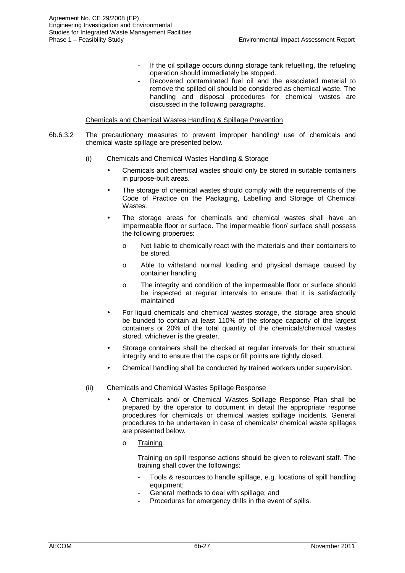- If the oil spillage occurs during storage tank refuelling, the refueling operation should immediately be stopped.
- Recovered contaminated fuel oil and the associated material to remove the spilled oil should be considered as chemical waste. The handling and disposal procedures for chemical wastes are discussed in the following paragraphs.

### Chemicals and Chemical Wastes Handling & Spillage Prevention

- 6b.6.3.2 The precautionary measures to prevent improper handling/ use of chemicals and chemical waste spillage are presented below.
	- (i) Chemicals and Chemical Wastes Handling & Storage
		- Chemicals and chemical wastes should only be stored in suitable containers in purpose-built areas.
		- The storage of chemical wastes should comply with the requirements of the Code of Practice on the Packaging, Labelling and Storage of Chemical Wastes.
		- The storage areas for chemicals and chemical wastes shall have an impermeable floor or surface. The impermeable floor/ surface shall possess the following properties:
			- o Not liable to chemically react with the materials and their containers to be stored.
			- o Able to withstand normal loading and physical damage caused by container handling
			- o The integrity and condition of the impermeable floor or surface should be inspected at regular intervals to ensure that it is satisfactorily maintained
		- For liquid chemicals and chemical wastes storage, the storage area should be bunded to contain at least 110% of the storage capacity of the largest containers or 20% of the total quantity of the chemicals/chemical wastes stored, whichever is the greater.
		- Storage containers shall be checked at regular intervals for their structural integrity and to ensure that the caps or fill points are tightly closed.
		- Chemical handling shall be conducted by trained workers under supervision.
	- (ii) Chemicals and Chemical Wastes Spillage Response
		- A Chemicals and/ or Chemical Wastes Spillage Response Plan shall be prepared by the operator to document in detail the appropriate response procedures for chemicals or chemical wastes spillage incidents. General procedures to be undertaken in case of chemicals/ chemical waste spillages are presented below.
			- o Training

Training on spill response actions should be given to relevant staff. The training shall cover the followings:

- Tools & resources to handle spillage, e.g. locations of spill handling equipment;
- General methods to deal with spillage; and
- Procedures for emergency drills in the event of spills.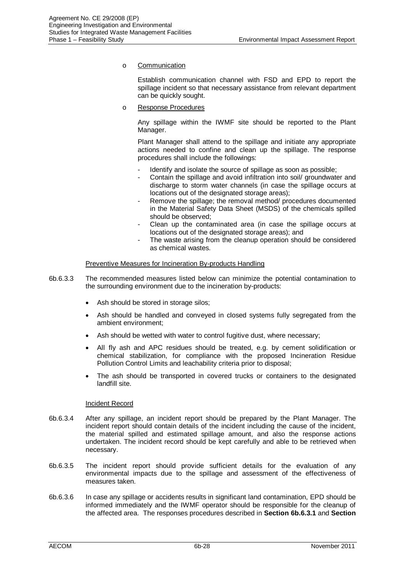o Communication

Establish communication channel with FSD and EPD to report the spillage incident so that necessary assistance from relevant department can be quickly sought.

o Response Procedures

Any spillage within the IWMF site should be reported to the Plant Manager.

Plant Manager shall attend to the spillage and initiate any appropriate actions needed to confine and clean up the spillage. The response procedures shall include the followings:

- Identify and isolate the source of spillage as soon as possible;
- Contain the spillage and avoid infiltration into soil/ groundwater and discharge to storm water channels (in case the spillage occurs at locations out of the designated storage areas);
- Remove the spillage; the removal method/ procedures documented in the Material Safety Data Sheet (MSDS) of the chemicals spilled should be observed;
- Clean up the contaminated area (in case the spillage occurs at locations out of the designated storage areas); and
- The waste arising from the cleanup operation should be considered as chemical wastes.

#### Preventive Measures for Incineration By-products Handling

- 6b.6.3.3 The recommended measures listed below can minimize the potential contamination to the surrounding environment due to the incineration by-products:
	- Ash should be stored in storage silos;
	- Ash should be handled and conveyed in closed systems fully segregated from the ambient environment;
	- Ash should be wetted with water to control fugitive dust, where necessary;
	- All fly ash and APC residues should be treated, e.g. by cement solidification or chemical stabilization, for compliance with the proposed Incineration Residue Pollution Control Limits and leachability criteria prior to disposal;
	- The ash should be transported in covered trucks or containers to the designated landfill site.

## Incident Record

- 6b.6.3.4 After any spillage, an incident report should be prepared by the Plant Manager. The incident report should contain details of the incident including the cause of the incident, the material spilled and estimated spillage amount, and also the response actions undertaken. The incident record should be kept carefully and able to be retrieved when necessary.
- 6b.6.3.5 The incident report should provide sufficient details for the evaluation of any environmental impacts due to the spillage and assessment of the effectiveness of measures taken.
- 6b.6.3.6 In case any spillage or accidents results in significant land contamination, EPD should be informed immediately and the IWMF operator should be responsible for the cleanup of the affected area. The responses procedures described in **Section 6b.6.3.1** and **Section**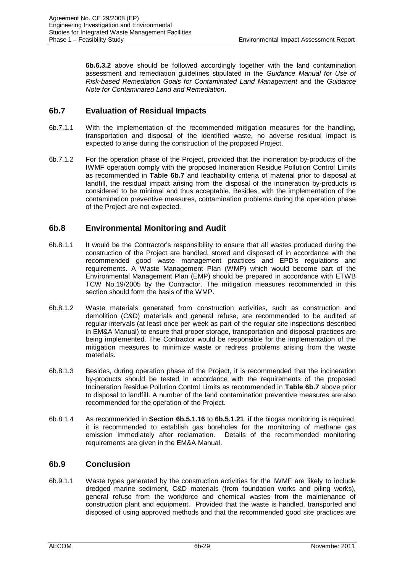**6b.6.3.2** above should be followed accordingly together with the land contamination assessment and remediation guidelines stipulated in the *Guidance Manual for Use of Risk-based Remediation Goals for Contaminated Land Management* and the *Guidance Note for Contaminated Land and Remediation*.

# **6b.7 Evaluation of Residual Impacts**

- 6b.7.1.1 With the implementation of the recommended mitigation measures for the handling, transportation and disposal of the identified waste, no adverse residual impact is expected to arise during the construction of the proposed Project.
- 6b.7.1.2 For the operation phase of the Project, provided that the incineration by-products of the IWMF operation comply with the proposed Incineration Residue Pollution Control Limits as recommended in **Table 6b.7** and leachability criteria of material prior to disposal at landfill, the residual impact arising from the disposal of the incineration by-products is considered to be minimal and thus acceptable. Besides, with the implementation of the contamination preventive measures, contamination problems during the operation phase of the Project are not expected.

# **6b.8 Environmental Monitoring and Audit**

- 6b.8.1.1 It would be the Contractor's responsibility to ensure that all wastes produced during the construction of the Project are handled, stored and disposed of in accordance with the recommended good waste management practices and EPD's regulations and requirements. A Waste Management Plan (WMP) which would become part of the Environmental Management Plan (EMP) should be prepared in accordance with ETWB TCW No.19/2005 by the Contractor. The mitigation measures recommended in this section should form the basis of the WMP.
- 6b.8.1.2 Waste materials generated from construction activities, such as construction and demolition (C&D) materials and general refuse, are recommended to be audited at regular intervals (at least once per week as part of the regular site inspections described in EM&A Manual) to ensure that proper storage, transportation and disposal practices are being implemented. The Contractor would be responsible for the implementation of the mitigation measures to minimize waste or redress problems arising from the waste materials.
- 6b.8.1.3 Besides, during operation phase of the Project, it is recommended that the incineration by-products should be tested in accordance with the requirements of the proposed Incineration Residue Pollution Control Limits as recommended in **Table 6b.7** above prior to disposal to landfill. A number of the land contamination preventive measures are also recommended for the operation of the Project.
- 6b.8.1.4 As recommended in **Section 6b.5.1.16** to **6b.5.1.21**, if the biogas monitoring is required, it is recommended to establish gas boreholes for the monitoring of methane gas emission immediately after reclamation. Details of the recommended monitoring requirements are given in the EM&A Manual.

# **6b.9 Conclusion**

6b.9.1.1 Waste types generated by the construction activities for the IWMF are likely to include dredged marine sediment, C&D materials (from foundation works and piling works), general refuse from the workforce and chemical wastes from the maintenance of construction plant and equipment. Provided that the waste is handled, transported and disposed of using approved methods and that the recommended good site practices are